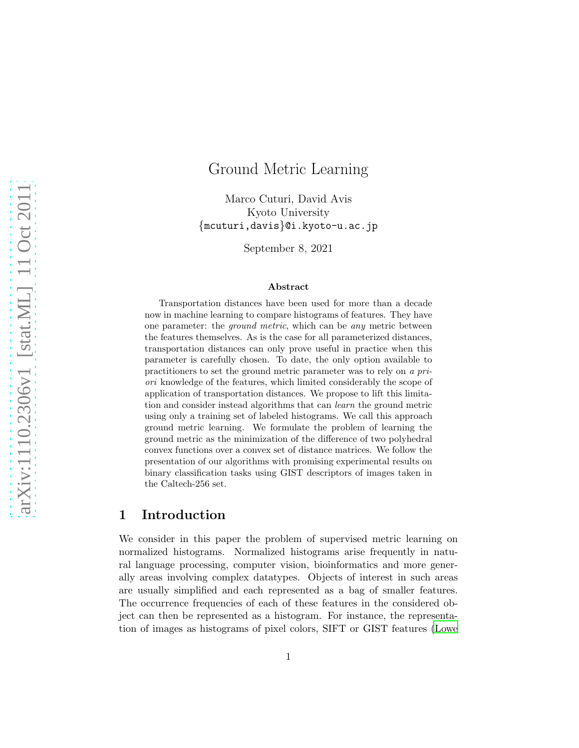# Ground Metric Learning

Marco Cuturi, David Avis Kyoto University {mcuturi,davis}@i.kyoto-u.ac.jp

September 8, 2021

#### Abstract

Transportation distances have been used for more than a decade now in machine learning to compare histograms of features. They have one parameter: the *ground metric*, which can be *any* metric between the features themselves. As is the case for all parameterized distances, transportation distances can only prove useful in practice when this parameter is carefully chosen. To date, the only option available to practitioners to set the ground metric parameter was to rely on *a priori* knowledge of the features, which limited considerably the scope of application of transportation distances. We propose to lift this limitation and consider instead algorithms that can *learn* the ground metric using only a training set of labeled histograms. We call this approach ground metric learning. We formulate the problem of learning the ground metric as the minimization of the difference of two polyhedral convex functions over a convex set of distance matrices. We follow the presentation of our algorithms with promising experimental results on binary classification tasks using GIST descriptors of images taken in the Caltech-256 set.

# 1 Introduction

We consider in this paper the problem of supervised metric learning on normalized histograms. Normalized histograms arise frequently in natural language processing, computer vision, bioinformatics and more generally areas involving complex datatypes. Objects of interest in such areas are usually simplified and each represented as a bag of smaller features. The occurrence frequencies of each of these features in the considered object can then be represented as a histogram. For instance, the representation of images as histograms of pixel colors, SIFT or GIST features [\(Lowe](#page-30-0)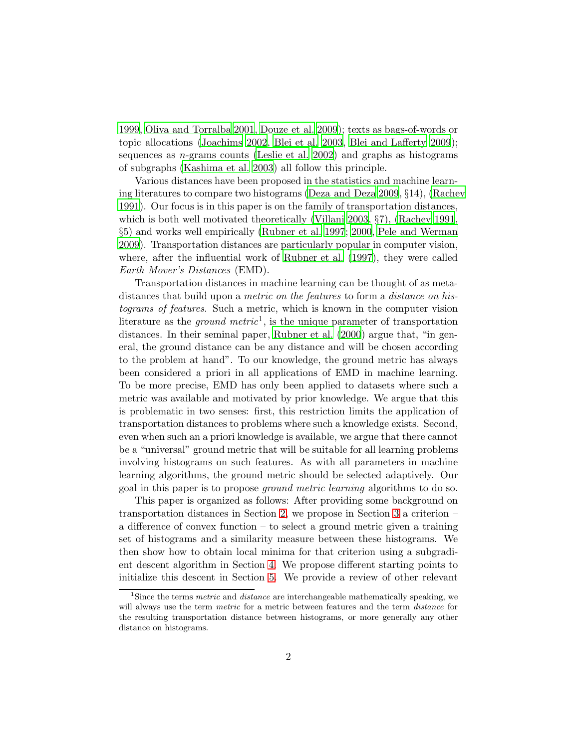[1999](#page-30-0), [Oliva and Torralba 2001](#page-30-1), [Douze et al. 2009](#page-28-0)); texts as bags-of-words or topic allocations [\(Joachims 2002](#page-29-0), [Blei et al. 2003,](#page-28-1) [Blei and](#page-28-2) Lafferty [2009](#page-28-2)); sequences as  $n$ -grams counts [\(Leslie et al. 2002\)](#page-29-1) and graphs as histograms of subgraphs [\(Kashima et al. 2003](#page-29-2)) all follow this principle.

Various distances have been proposed in the statistics and machine learning literatures to compare two histograms [\(Deza and Deza 2009](#page-28-3), §14), [\(Rachev](#page-30-2) [1991](#page-30-2)). Our focus is in this paper is on the family of transportation distances, which is both well motivated theoretically [\(Villani 2003,](#page-30-3) §7), [\(Rachev 1991](#page-30-2), §5) and works well empirically [\(Rubner et al. 1997](#page-30-4); [2000](#page-30-5), Pele [and Werman](#page-30-6) [2009](#page-30-6)). Transportation distances are particularly popular in computer vision, where, after the influential work of [Rubner et al. \(1997\)](#page-30-4), they were called *Earth Mover's Distances* (EMD).

Transportation distances in machine learning can be thought of as metadistances that build upon a *metric on the features* to form a *distance on histograms of features*. Such a metric, which is known in the computer vision literature as the *ground metric*<sup>1</sup> , is the unique parameter of transportation distances. In their seminal paper, [Rubner et al. \(2000](#page-30-5)) argue that, "in general, the ground distance can be any distance and will be chosen according to the problem at hand". To our knowledge, the ground metric has always been considered a priori in all applications of EMD in machine learning. To be more precise, EMD has only been applied to datasets where such a metric was available and motivated by prior knowledge. We argue that this is problematic in two senses: first, this restriction limits the application of transportation distances to problems where such a knowledge exists. Second, even when such an a priori knowledge is available, we argue that there cannot be a "universal" ground metric that will be suitable for all learning problems involving histograms on such features. As with all parameters in machine learning algorithms, the ground metric should be selected adaptively. Our goal in this paper is to propose *ground metric learning* algorithms to do so.

This paper is organized as follows: After providing some background on transportation distances in Section [2,](#page-2-0) we propose in Section [3](#page-4-0) a criterion – a difference of convex function – to select a ground metric given a training set of histograms and a similarity measure between these histograms. We then show how to obtain local minima for that criterion using a subgradient descent algorithm in Section [4.](#page-7-0) We propose different starting points to initialize this descent in Section [5.](#page-9-0) We provide a review of other relevant

<sup>&</sup>lt;sup>1</sup>Since the terms *metric* and *distance* are interchangeable mathematically speaking, we will always use the term *metric* for a metric between features and the term *distance* for the resulting transportation distance between histograms, or more generally any other distance on histograms.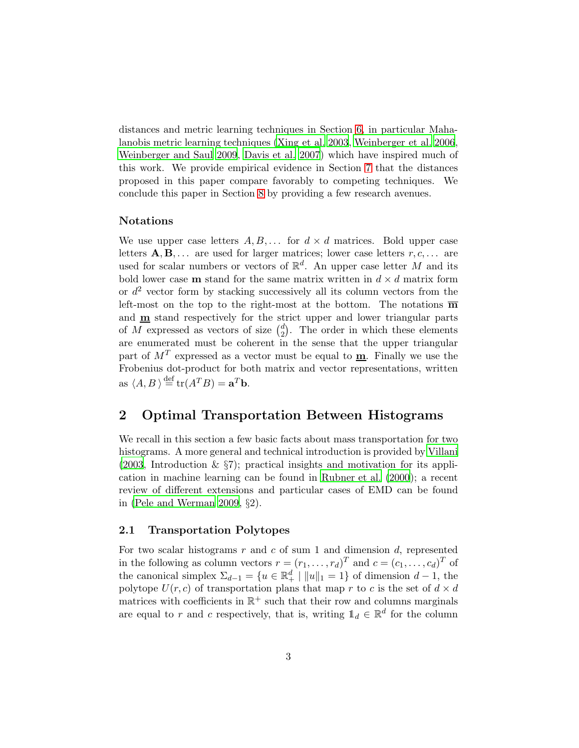distances and metric learning techniques in Section [6,](#page-15-0) in particular Mahalanobis metric learning techniques [\(Xing et al. 2003,](#page-31-0) [Weinberger et al. 2006](#page-31-1), [Weinberger and Saul 2009](#page-31-2), [Davis et al. 2007\)](#page-28-4) which have inspired much of this work. We provide empirical evidence in Section [7](#page-18-0) that the distances proposed in this paper compare favorably to competing techniques. We conclude this paper in Section [8](#page-23-0) by providing a few research avenues.

#### Notations

We use upper case letters  $A, B, \ldots$  for  $d \times d$  matrices. Bold upper case letters  $\mathbf{A}, \mathbf{B}, \ldots$  are used for larger matrices; lower case letters  $r, c, \ldots$  are used for scalar numbers or vectors of  $\mathbb{R}^d$ . An upper case letter M and its bold lower case **m** stand for the same matrix written in  $d \times d$  matrix form or  $d^2$  vector form by stacking successively all its column vectors from the left-most on the top to the right-most at the bottom. The notations  $\overline{m}$ and  $\mathbf{m}$  stand respectively for the strict upper and lower triangular parts of M expressed as vectors of size  $\binom{d}{2}$  $_{2}^{d}$ ). The order in which these elements are enumerated must be coherent in the sense that the upper triangular part of  $M<sup>T</sup>$  expressed as a vector must be equal to  $\underline{\mathbf{m}}$ . Finally we use the Frobenius dot-product for both matrix and vector representations, written as  $\langle A, B \rangle \stackrel{\text{def}}{=} \text{tr}(A^T B) = \mathbf{a}^T \mathbf{b}.$ 

# <span id="page-2-0"></span>2 Optimal Transportation Between Histograms

We recall in this section a few basic facts about mass transportation for two histograms. A more general and technical introduction is provided by [Villani](#page-30-3)  $(2003,$  Introduction  $\&$  §7); practical insights and motivation for its application in machine learning can be found in [Rubner et al. \(2000](#page-30-5)); a recent review of different extensions and particular cases of EMD can be found in [\(Pele and Werman 2009,](#page-30-6) §2).

### 2.1 Transportation Polytopes

For two scalar histograms  $r$  and  $c$  of sum 1 and dimension  $d$ , represented in the following as column vectors  $r = (r_1, \ldots, r_d)^T$  and  $c = (c_1, \ldots, c_d)^T$  of the canonical simplex  $\Sigma_{d-1} = \{u \in \mathbb{R}_+^d \mid ||u||_1 = 1\}$  of dimension  $d-1$ , the polytope  $U(r, c)$  of transportation plans that map r to c is the set of  $d \times d$ matrices with coefficients in  $\mathbb{R}^+$  such that their row and columns marginals are equal to r and c respectively, that is, writing  $\mathbb{1}_d \in \mathbb{R}^d$  for the column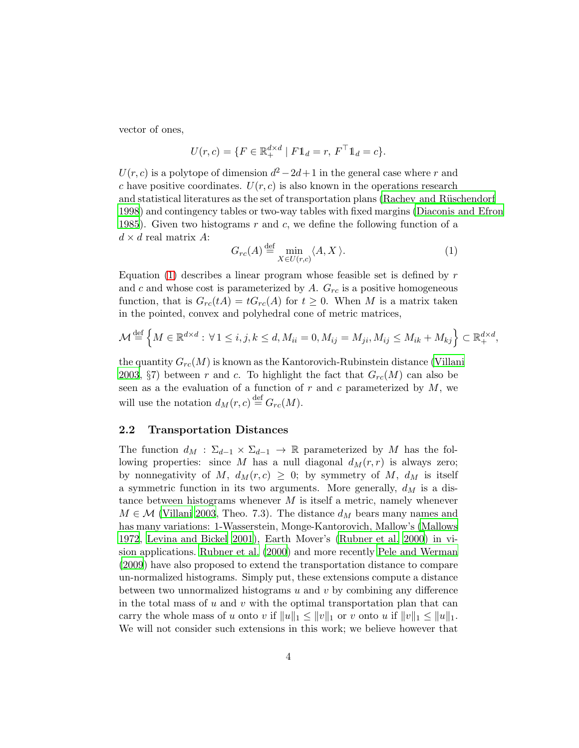vector of ones,

$$
U(r,c) = \{ F \in \mathbb{R}^{d \times d}_+ \mid F1_d = r, F^\top 1_d = c \}.
$$

 $U(r, c)$  is a polytope of dimension  $d^2 - 2d + 1$  in the general case where r and c have positive coordinates.  $U(r, c)$  is also known in the operations research and statistical literatures as the set of transportation plans (Rachev and Rüschendorf [1998](#page-30-7)) and contingency tables or two-way tables with fixed margins [\(Diaconis and Efron](#page-28-5) [1985](#page-28-5)). Given two histograms r and c, we define the following function of a  $d \times d$  real matrix A:

<span id="page-3-0"></span>
$$
G_{rc}(A) \stackrel{\text{def}}{=} \min_{X \in U(r,c)} \langle A, X \rangle.
$$
 (1)

Equation  $(1)$  describes a linear program whose feasible set is defined by r and c and whose cost is parameterized by A.  $G_{rc}$  is a positive homogeneous function, that is  $G_{rc}(tA) = tG_{rc}(A)$  for  $t \geq 0$ . When M is a matrix taken in the pointed, convex and polyhedral cone of metric matrices,

$$
\mathcal{M} \stackrel{\text{def}}{=} \left\{ M \in \mathbb{R}^{d \times d} : \forall 1 \le i, j, k \le d, M_{ii} = 0, M_{ij} = M_{ji}, M_{ij} \le M_{ik} + M_{kj} \right\} \subset \mathbb{R}^{d \times d}_+,
$$

the quantity  $G_{rc}(M)$  is known as the Kantorovich-Rubinstein distance [\(Villani](#page-30-3) [2003](#page-30-3),  $\S7$ ) between r and c. To highlight the fact that  $G_{rc}(M)$  can also be seen as a the evaluation of a function of  $r$  and  $c$  parameterized by  $M$ , we will use the notation  $d_M(r, c) \stackrel{\text{def}}{=} G_{rc}(M)$ .

#### 2.2 Transportation Distances

The function  $d_M$ :  $\Sigma_{d-1} \times \Sigma_{d-1} \to \mathbb{R}$  parameterized by M has the following properties: since M has a null diagonal  $d_M(r, r)$  is always zero; by nonnegativity of M,  $d_M(r, c) \geq 0$ ; by symmetry of M,  $d_M$  is itself a symmetric function in its two arguments. More generally,  $d_M$  is a distance between histograms whenever  $M$  is itself a metric, namely whenever  $M \in \mathcal{M}$  [\(Villani 2003](#page-30-3), Theo. 7.3). The distance  $d_M$  bears many names and has many variations: 1-Wasserstein, Monge-Kantorovich, Mallow's [\(Mallows](#page-30-8) [1972](#page-30-8), [Levina and Bickel 2001\)](#page-29-3), Earth Mover's [\(Rubner et al. 2000\)](#page-30-5) in vision applications. [Rubner et al. \(2000](#page-30-5)) and more recently [Pele and Werman](#page-30-6) [\(2009\)](#page-30-6) have also proposed to extend the transportation distance to compare un-normalized histograms. Simply put, these extensions compute a distance between two unnormalized histograms  $u$  and  $v$  by combining any difference in the total mass of  $u$  and  $v$  with the optimal transportation plan that can carry the whole mass of u onto v if  $||u||_1 \leq ||v||_1$  or v onto u if  $||v||_1 \leq ||u||_1$ . We will not consider such extensions in this work; we believe however that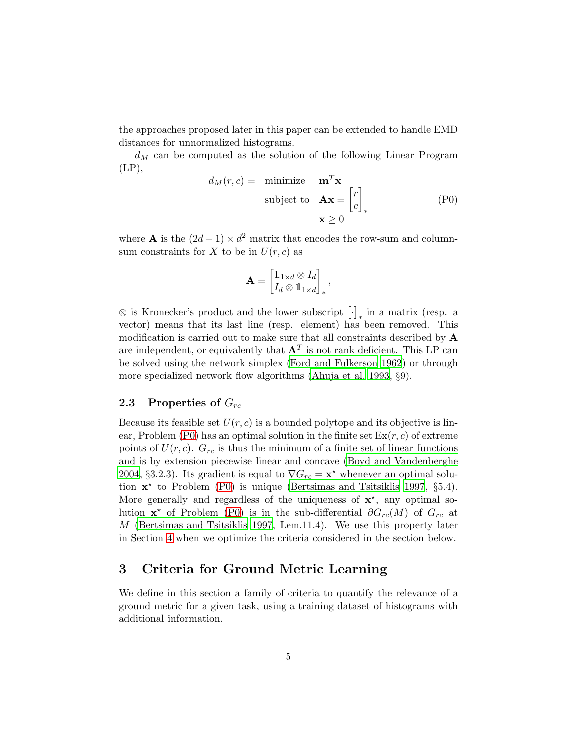the approaches proposed later in this paper can be extended to handle EMD distances for unnormalized histograms.

 $d_M$  can be computed as the solution of the following Linear Program  $(LP),$ 

$$
d_M(r, c) = \text{minimize } \mathbf{m}^T \mathbf{x}
$$
  
subject to 
$$
\mathbf{A} \mathbf{x} = \begin{bmatrix} r \\ c \end{bmatrix}_*
$$
  

$$
\mathbf{x} \ge 0
$$
 (P0)

where **A** is the  $(2d - 1) \times d^2$  matrix that encodes the row-sum and columnsum constraints for X to be in  $U(r, c)$  as

<span id="page-4-1"></span>
$$
\mathbf{A} = \begin{bmatrix} \mathbb{1}_{1 \times d} \otimes I_d \\ I_d \otimes \mathbb{1}_{1 \times d} \end{bmatrix}_*,
$$

 $\otimes$  is Kronecker's product and the lower subscript  $\left[\cdot\right]_{*}$  in a matrix (resp. a vector) means that its last line (resp. element) has been removed. This modification is carried out to make sure that all constraints described by A are independent, or equivalently that  $A<sup>T</sup>$  is not rank deficient. This LP can be solved using the network simplex [\(Ford and Fulkerson 1962](#page-28-6)) or through more specialized network flow algorithms [\(Ahuja et al. 1993](#page-27-0), §9).

### 2.3 Properties of  $G_{rc}$

Because its feasible set  $U(r, c)$  is a bounded polytope and its objective is lin-ear, Problem [\(P0\)](#page-4-1) has an optimal solution in the finite set  $Ex(r, c)$  of extreme points of  $U(r, c)$ .  $G_{rc}$  is thus the minimum of a finite set of linear functions and is by extension piecewise linear and concave [\(Boyd and Vandenberghe](#page-28-7) [2004](#page-28-7), §3.2.3). Its gradient is equal to  $\nabla G_{rc} = \mathbf{x}^*$  whenever an optimal solution  $\mathbf{x}^*$  to Problem [\(P0\)](#page-4-1) is unique [\(Bertsimas and Tsitsiklis 1997](#page-28-8), §5.4). More generally and regardless of the uniqueness of  $x^*$ , any optimal solution  $\mathbf{x}^*$  of Problem [\(P0\)](#page-4-1) is in the sub-differential  $\partial G_{rc}(M)$  of  $G_{rc}$  at M [\(Bertsimas and Tsitsiklis 1997](#page-28-8), Lem.11.4). We use this property later in Section [4](#page-7-0) when we optimize the criteria considered in the section below.

# <span id="page-4-0"></span>3 Criteria for Ground Metric Learning

We define in this section a family of criteria to quantify the relevance of a ground metric for a given task, using a training dataset of histograms with additional information.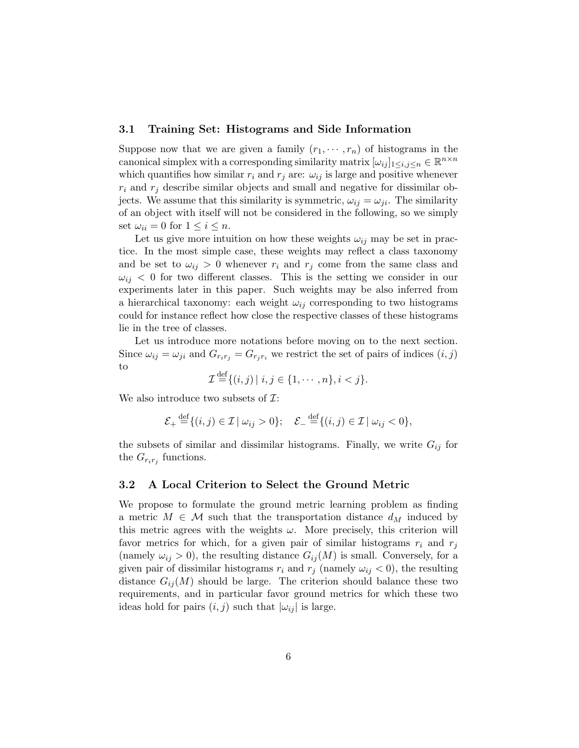### <span id="page-5-1"></span>3.1 Training Set: Histograms and Side Information

Suppose now that we are given a family  $(r_1, \dots, r_n)$  of histograms in the canonical simplex with a corresponding similarity matrix  $[\omega_{ij}]_{1 \le i,j \le n} \in \mathbb{R}^{n \times n}$ which quantifies how similar  $r_i$  and  $r_j$  are:  $\omega_{ij}$  is large and positive whenever  $r_i$  and  $r_j$  describe similar objects and small and negative for dissimilar objects. We assume that this similarity is symmetric,  $\omega_{ij} = \omega_{ji}$ . The similarity of an object with itself will not be considered in the following, so we simply set  $\omega_{ii} = 0$  for  $1 \leq i \leq n$ .

Let us give more intuition on how these weights  $\omega_{ij}$  may be set in practice. In the most simple case, these weights may reflect a class taxonomy and be set to  $\omega_{ij} > 0$  whenever  $r_i$  and  $r_j$  come from the same class and  $\omega_{ij}$  < 0 for two different classes. This is the setting we consider in our experiments later in this paper. Such weights may be also inferred from a hierarchical taxonomy: each weight  $\omega_{ij}$  corresponding to two histograms could for instance reflect how close the respective classes of these histograms lie in the tree of classes.

Let us introduce more notations before moving on to the next section. Since  $\omega_{ij} = \omega_{ji}$  and  $G_{r_i r_j} = G_{r_i r_i}$  we restrict the set of pairs of indices  $(i, j)$ to

$$
\mathcal{I}^{\text{def}}\{(i,j) \mid i,j \in \{1,\cdots,n\}, i < j\}.
$$

We also introduce two subsets of  $\mathcal{I}$ :

$$
\mathcal{E}_+ \stackrel{\text{def}}{=} \{ (i,j) \in \mathcal{I} \mid \omega_{ij} > 0 \}; \quad \mathcal{E}_- \stackrel{\text{def}}{=} \{ (i,j) \in \mathcal{I} \mid \omega_{ij} < 0 \},
$$

the subsets of similar and dissimilar histograms. Finally, we write  $G_{ij}$  for the  $G_{r_i r_j}$  functions.

#### <span id="page-5-0"></span>3.2 A Local Criterion to Select the Ground Metric

We propose to formulate the ground metric learning problem as finding a metric  $M \in \mathcal{M}$  such that the transportation distance  $d_M$  induced by this metric agrees with the weights  $\omega$ . More precisely, this criterion will favor metrics for which, for a given pair of similar histograms  $r_i$  and  $r_j$ (namely  $\omega_{ij} > 0$ ), the resulting distance  $G_{ij}(M)$  is small. Conversely, for a given pair of dissimilar histograms  $r_i$  and  $r_j$  (namely  $\omega_{ij} < 0$ ), the resulting distance  $G_{ij}(M)$  should be large. The criterion should balance these two requirements, and in particular favor ground metrics for which these two ideas hold for pairs  $(i, j)$  such that  $|\omega_{ij}|$  is large.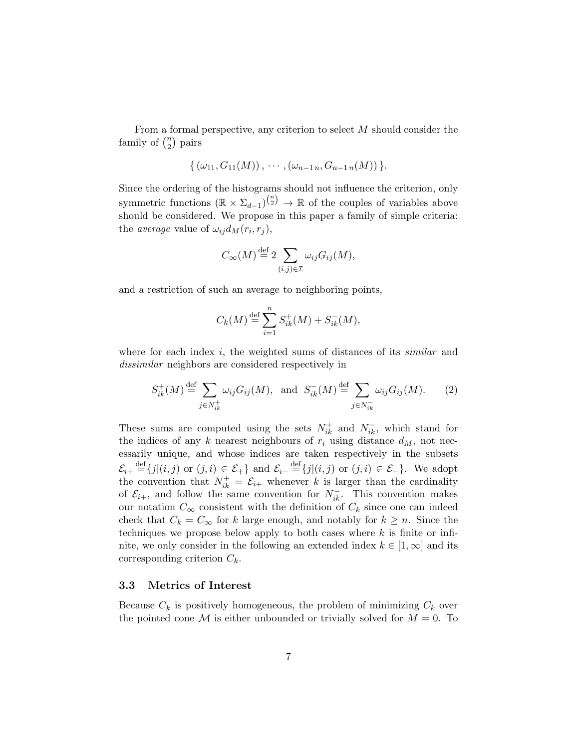From a formal perspective, any criterion to select M should consider the family of  $\binom{n}{2}$  $\binom{n}{2}$  pairs

$$
\{(\omega_{11}, G_{11}(M)), \cdots, (\omega_{n-1 n}, G_{n-1 n}(M))\}.
$$

Since the ordering of the histograms should not influence the criterion, only symmetric functions  $(\mathbb{R} \times \Sigma_{d-1})^{n \choose 2} \to \mathbb{R}$  of the couples of variables above should be considered. We propose in this paper a family of simple criteria: the *average* value of  $\omega_{ij} d_M(r_i, r_j)$ ,

$$
C_{\infty}(M) \stackrel{\text{def}}{=} 2 \sum_{(i,j) \in \mathcal{I}} \omega_{ij} G_{ij}(M),
$$

and a restriction of such an average to neighboring points,

$$
C_k(M) \stackrel{\text{def}}{=} \sum_{i=1}^n S_{ik}^+(M) + S_{ik}^-(M),
$$

where for each index i, the weighted sums of distances of its *similar* and *dissimilar* neighbors are considered respectively in

<span id="page-6-0"></span>
$$
S_{ik}^+(M) \stackrel{\text{def}}{=} \sum_{j \in N_{ik}^+} \omega_{ij} G_{ij}(M), \text{ and } S_{ik}^-(M) \stackrel{\text{def}}{=} \sum_{j \in N_{ik}^-} \omega_{ij} G_{ij}(M). \tag{2}
$$

These sums are computed using the sets  $N_{ik}^+$  and  $N_{ik}^-$ , which stand for the indices of any k nearest neighbours of  $r_i$  using distance  $d_M$ , not necessarily unique, and whose indices are taken respectively in the subsets  $\mathcal{E}_{i+} \stackrel{\text{def}}{=} \{j|(i,j) \text{ or } (j,i) \in \mathcal{E}_+\}$  and  $\mathcal{E}_{i-} \stackrel{\text{def}}{=} \{j|(i,j) \text{ or } (j,i) \in \mathcal{E}_-\}$ . We adopt the convention that  $N_{ik}^+ = \mathcal{E}_{i+}$  whenever k is larger than the cardinality of  $\mathcal{E}_{i+}$ , and follow the same convention for  $N_{ik}^-$ . This convention makes our notation  $C_{\infty}$  consistent with the definition of  $C_k$  since one can indeed check that  $C_k = C_{\infty}$  for k large enough, and notably for  $k \geq n$ . Since the techniques we propose below apply to both cases where  $k$  is finite or infinite, we only consider in the following an extended index  $k \in [1,\infty]$  and its corresponding criterion  $C_k$ .

#### 3.3 Metrics of Interest

Because  $C_k$  is positively homogeneous, the problem of minimizing  $C_k$  over the pointed cone M is either unbounded or trivially solved for  $M = 0$ . To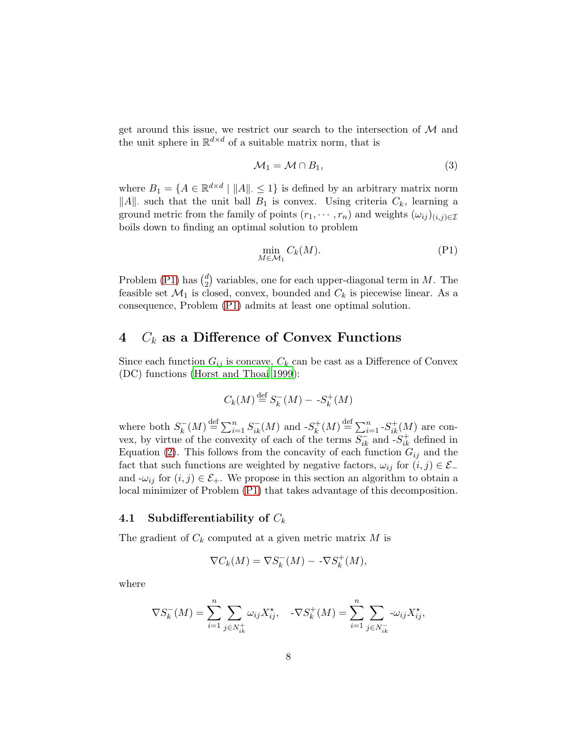get around this issue, we restrict our search to the intersection of  $M$  and the unit sphere in  $\mathbb{R}^{d \times d}$  of a suitable matrix norm, that is

<span id="page-7-2"></span>
$$
\mathcal{M}_1 = \mathcal{M} \cap B_1,\tag{3}
$$

where  $B_1 = \{A \in \mathbb{R}^{d \times d} \mid ||A|| \leq 1\}$  is defined by an arbitrary matrix norm ||A|| such that the unit ball  $B_1$  is convex. Using criteria  $C_k$ , learning a ground metric from the family of points  $(r_1, \dots, r_n)$  and weights  $(\omega_{ij})_{(i,j)\in\mathcal{I}}$ boils down to finding an optimal solution to problem

<span id="page-7-1"></span>
$$
\min_{M \in \mathcal{M}_1} C_k(M). \tag{P1}
$$

Problem [\(P1\)](#page-7-1) has  $\binom{d}{2}$  $_{2}^{d}$ ) variables, one for each upper-diagonal term in M. The feasible set  $\mathcal{M}_1$  is closed, convex, bounded and  $C_k$  is piecewise linear. As a consequence, Problem [\(P1\)](#page-7-1) admits at least one optimal solution.

# <span id="page-7-0"></span>4  $C_k$  as a Difference of Convex Functions

Since each function  $G_{ij}$  is concave,  $C_k$  can be cast as a Difference of Convex (DC) functions [\(Horst and Thoai 1999](#page-29-4)):

$$
C_k(M) \stackrel{\text{def}}{=} S_k^-(M) - S_k^+(M)
$$

where both  $S_k^-(M) \stackrel{\text{def}}{=} \sum_{i=1}^n S_{ik}^-(M)$  and  $-S_k^+(M) \stackrel{\text{def}}{=} \sum_{i=1}^n S_{ik}^+(M)$  are convex, by virtue of the convexity of each of the terms  $S_{ik}^-$  and  $-S_{ik}^+$  defined in Equation [\(2\)](#page-6-0). This follows from the concavity of each function  $G_{ij}$  and the fact that such functions are weighted by negative factors,  $\omega_{ij}$  for  $(i, j) \in \mathcal{E}_$ and  $-\omega_{ij}$  for  $(i, j) \in \mathcal{E}_+$ . We propose in this section an algorithm to obtain a local minimizer of Problem [\(P1\)](#page-7-1) that takes advantage of this decomposition.

#### 4.1 Subdifferentiability of  $C_k$

The gradient of  $C_k$  computed at a given metric matrix M is

$$
\nabla C_k(M) = \nabla S_k^-(M) - -\nabla S_k^+(M),
$$

where

$$
\nabla S_k^-(M) = \sum_{i=1}^n \sum_{j \in N_{ik}^+} \omega_{ij} X_{ij}^*, \quad -\nabla S_k^+(M) = \sum_{i=1}^n \sum_{j \in N_{ik}^-} -\omega_{ij} X_{ij}^*,
$$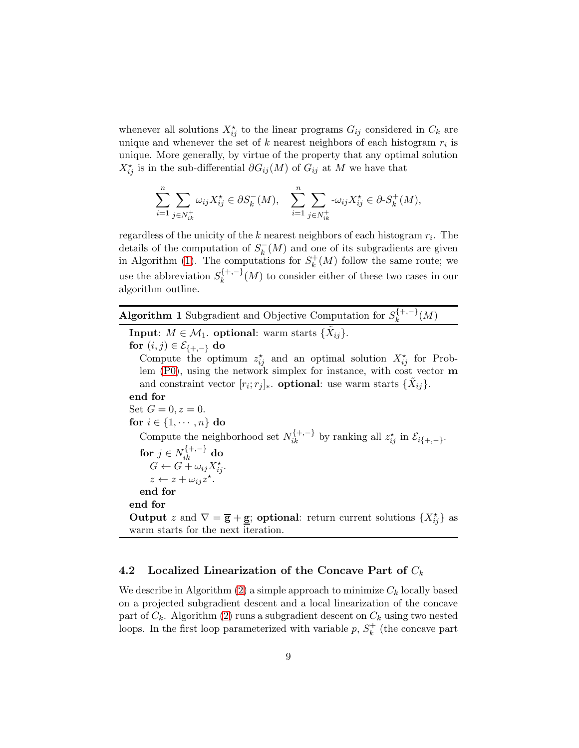whenever all solutions  $X_{ij}^*$  to the linear programs  $G_{ij}$  considered in  $C_k$  are unique and whenever the set of  $k$  nearest neighbors of each histogram  $r_i$  is unique. More generally, by virtue of the property that any optimal solution  $X_{ij}^{\star}$  is in the sub-differential  $\partial G_{ij}(M)$  of  $G_{ij}$  at M we have that

$$
\sum_{i=1}^n \sum_{j \in N_{ik}^+} \omega_{ij} X_{ij}^{\star} \in \partial S_k^-(M), \quad \sum_{i=1}^n \sum_{j \in N_{ik}^+} \omega_{ij} X_{ij}^{\star} \in \partial S_k^+(M),
$$

regardless of the unicity of the  $k$  nearest neighbors of each histogram  $r_i$ . The details of the computation of  $S_k^-(M)$  and one of its subgradients are given in Algorithm [\(1\)](#page-8-0). The computations for  $S_k^+(M)$  follow the same route; we use the abbreviation  $S_k^{\{+,-\}}(M)$  to consider either of these two cases in our algorithm outline.

<span id="page-8-0"></span>Algorithm 1 Subgradient and Objective Computation for  $S_k^{\{+,-\}}(M)$ 

**Input:**  $M \in \mathcal{M}_1$ . **optional:** warm starts  $\{\tilde{X}_{ij}\}.$ for  $(i, j) \in \mathcal{E}_{\{+, -\}}$  do Compute the optimum  $z_{ij}^{\star}$  and an optimal solution  $X_{ij}^{\star}$  for Problem [\(P0\)](#page-4-1), using the network simplex for instance, with cost vector m and constraint vector  $[r_i; r_j]_{\ast}$ . **optional**: use warm starts  $\{\tilde{X}_{ij}\}.$ end for Set  $G = 0, z = 0$ . for  $i \in \{1, \cdots, n\}$  do Compute the neighborhood set  $N_{ik}^{\{+,-\}}$  by ranking all  $z_{ij}^{\star}$  in  $\mathcal{E}_{i\{+,-\}}$ . for  $j \in N_{ik}^{\{+,-\}}$  do  $G \leftarrow \widetilde{G} + \omega_{ij} X_{ij}^{\star}.$  $z \leftarrow z + \omega_{ij} z^{\star}.$ end for end for **Output** z and  $\nabla = \overline{\mathbf{g}} + \underline{\mathbf{g}}$ ; **optional**: return current solutions  $\{X_{ij}^{\star}\}\)$  as warm starts for the next iteration.

### 4.2 Localized Linearization of the Concave Part of  $C_k$

We describe in Algorithm [\(2\)](#page-10-0) a simple approach to minimize  $C_k$  locally based on a projected subgradient descent and a local linearization of the concave part of  $C_k$ . Algorithm [\(2\)](#page-10-0) runs a subgradient descent on  $C_k$  using two nested loops. In the first loop parameterized with variable  $p, S_k^+$  (the concave part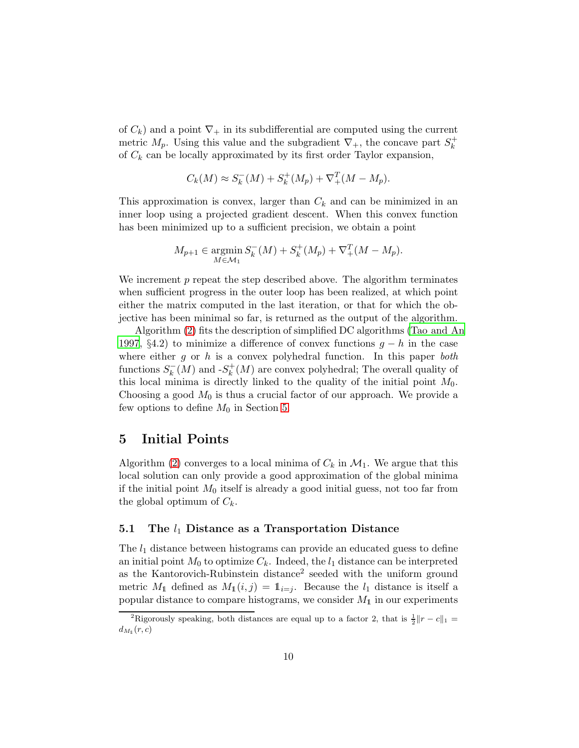of  $C_k$ ) and a point  $\nabla_+$  in its subdifferential are computed using the current metric  $M_p$ . Using this value and the subgradient  $\nabla_+$ , the concave part  $S_k^+$ of  $C_k$  can be locally approximated by its first order Taylor expansion,

$$
C_k(M) \approx S_k^-(M) + S_k^+(M_p) + \nabla_+^T (M - M_p).
$$

This approximation is convex, larger than  $C_k$  and can be minimized in an inner loop using a projected gradient descent. When this convex function has been minimized up to a sufficient precision, we obtain a point

$$
M_{p+1} \in \operatorname*{argmin}_{M \in \mathcal{M}_1} S_k^-(M) + S_k^+(M_p) + \nabla_+^T (M - M_p).
$$

We increment  $p$  repeat the step described above. The algorithm terminates when sufficient progress in the outer loop has been realized, at which point either the matrix computed in the last iteration, or that for which the objective has been minimal so far, is returned as the output of the algorithm.

Algorithm [\(2\)](#page-10-0) fits the description of simplified DC algorithms [\(Tao and An](#page-30-9) [1997](#page-30-9), §4.2) to minimize a difference of convex functions  $q - h$  in the case where either g or h is a convex polyhedral function. In this paper *both* functions  $S_k^-(M)$  and  $-S_k^+(M)$  are convex polyhedral; The overall quality of this local minima is directly linked to the quality of the initial point  $M_0$ . Choosing a good  $M_0$  is thus a crucial factor of our approach. We provide a few options to define  $M_0$  in Section [5.](#page-9-0)

# <span id="page-9-0"></span>5 Initial Points

Algorithm [\(2\)](#page-10-0) converges to a local minima of  $C_k$  in  $\mathcal{M}_1$ . We argue that this local solution can only provide a good approximation of the global minima if the initial point  $M_0$  itself is already a good initial guess, not too far from the global optimum of  $C_k$ .

#### 5.1 The  $l_1$  Distance as a Transportation Distance

The  $l_1$  distance between histograms can provide an educated guess to define an initial point  $M_0$  to optimize  $C_k$ . Indeed, the  $l_1$  distance can be interpreted as the Kantorovich-Rubinstein distance<sup>2</sup> seeded with the uniform ground metric  $M_1$  defined as  $M_1(i, j) = 1_{i=j}$ . Because the  $l_1$  distance is itself a popular distance to compare histograms, we consider  $M_1$  in our experiments

<sup>&</sup>lt;sup>2</sup>Rigorously speaking, both distances are equal up to a factor 2, that is  $\frac{1}{2}||r-c||_1 =$  $d_{M_1}(r,c)$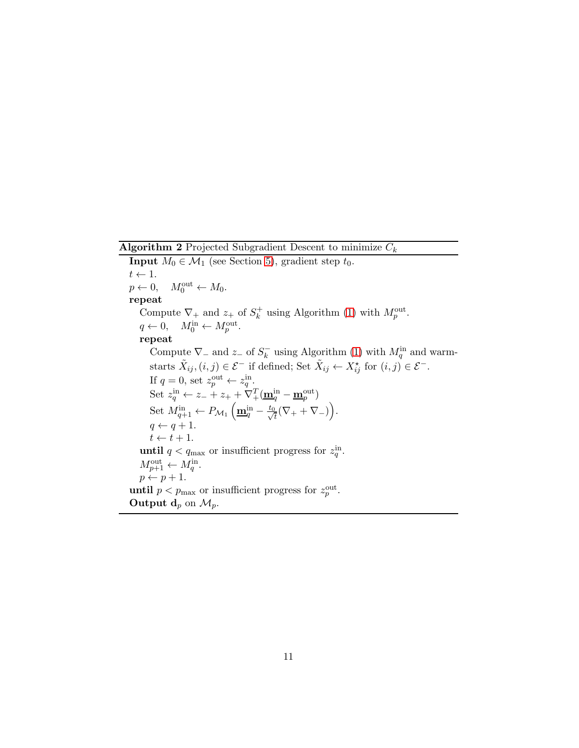**Algorithm 2** Projected Subgradient Descent to minimize  $C_k$ 

<span id="page-10-0"></span>**Input**  $M_0 \in \mathcal{M}_1$  (see Section [5\)](#page-9-0), gradient step  $t_0$ .  $t \leftarrow 1.$ <br> $p \leftarrow 0,$  $p \leftarrow 0, \quad M_0^{\text{out}} \leftarrow M_0.$ repeat Compute  $\nabla_+$  and  $z_+$  of  $S_k^+$  using Algorithm [\(1\)](#page-8-0) with  $M_p^{\text{out}}$ .  $q \leftarrow 0, \quad M_0^{\text{in}} \leftarrow M_p^{\text{out}}.$ repeat Compute  $\nabla$  and  $z$  of  $S_k^-$  using Algorithm [\(1\)](#page-8-0) with  $M_q^{\text{in}}$  and warmstarts  $\tilde{X}_{ij}$ ,  $(i, j) \in \mathcal{E}^-$  if defined; Set  $\tilde{X}_{ij} \leftarrow X_{ij}^{\star}$  for  $(i, j) \in \mathcal{E}^-$ . If  $q = 0$ , set  $z_p^{\text{out}} \leftarrow z_q^{\text{in}}$ . Set  $z_q^{\text{in}} \leftarrow z_- + z_+ + \nabla_+^T (\underline{\mathbf{m}}_q^{\text{in}} - \underline{\mathbf{m}}_p^{\text{out}})$ Set  $M^{\text{in}}_{q+1} \leftarrow P_{\mathcal{M}_1} \left( \underline{\mathbf{m}}_q^{\text{in}} - \frac{t_0}{\sqrt{s}} \right)$  $\frac{1}{\overline{t}}(\nabla_++\nabla_-)\Big).$  $q \leftarrow q + 1.$  $t \leftarrow t + 1.$ **until**  $q < q_{\text{max}}$  or insufficient progress for  $z_q^{\text{in}}$ .  $M_{p+1}^{\text{out}} \leftarrow M_q^{\text{in}}.$  $p \leftarrow p + 1.$ **until**  $p < p_{\text{max}}$  or insufficient progress for  $z_p^{\text{out}}$ . Output  $d_p$  on  $\mathcal{M}_p$ .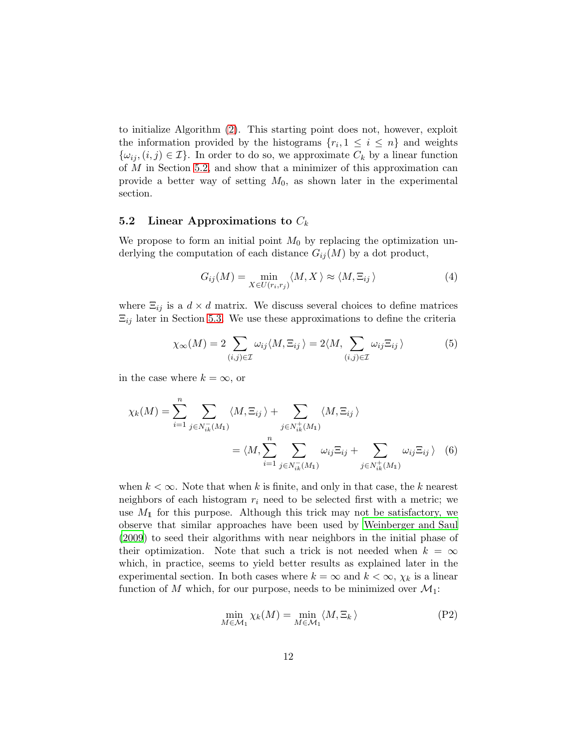to initialize Algorithm [\(2\)](#page-10-0). This starting point does not, however, exploit the information provided by the histograms  $\{r_i, 1 \leq i \leq n\}$  and weights  $\{\omega_{ij}, (i,j) \in \mathcal{I}\}\.$  In order to do so, we approximate  $C_k$  by a linear function of  $M$  in Section [5.2,](#page-11-0) and show that a minimizer of this approximation can provide a better way of setting  $M_0$ , as shown later in the experimental section.

#### <span id="page-11-0"></span>5.2 Linear Approximations to  $C_k$

We propose to form an initial point  $M_0$  by replacing the optimization underlying the computation of each distance  $G_{ij}(M)$  by a dot product,

$$
G_{ij}(M) = \min_{X \in U(r_i, r_j)} \langle M, X \rangle \approx \langle M, \Xi_{ij} \rangle \tag{4}
$$

where  $\Xi_{ij}$  is a  $d \times d$  matrix. We discuss several choices to define matrices  $\Xi_{ij}$  later in Section [5.3.](#page-12-0) We use these approximations to define the criteria

<span id="page-11-1"></span>
$$
\chi_{\infty}(M) = 2 \sum_{(i,j)\in\mathcal{I}} \omega_{ij} \langle M, \Xi_{ij} \rangle = 2 \langle M, \sum_{(i,j)\in\mathcal{I}} \omega_{ij} \Xi_{ij} \rangle \tag{5}
$$

in the case where  $k = \infty$ , or

$$
\chi_k(M) = \sum_{i=1}^n \sum_{j \in N_{ik}^-(M_1)} \langle M, \Xi_{ij} \rangle + \sum_{j \in N_{ik}^+(M_1)} \langle M, \Xi_{ij} \rangle
$$
  
= 
$$
\langle M, \sum_{i=1}^n \sum_{j \in N_{ik}^-(M_1)} \omega_{ij} \Xi_{ij} + \sum_{j \in N_{ik}^+(M_1)} \omega_{ij} \Xi_{ij} \rangle
$$
 (6)

when  $k < \infty$ . Note that when k is finite, and only in that case, the k nearest neighbors of each histogram  $r_i$  need to be selected first with a metric; we use  $M_1$  for this purpose. Although this trick may not be satisfactory, we observe that similar approaches have been used by [Weinberger and Saul](#page-31-2) [\(2009\)](#page-31-2) to seed their algorithms with near neighbors in the initial phase of their optimization. Note that such a trick is not needed when  $k = \infty$ which, in practice, seems to yield better results as explained later in the experimental section. In both cases where  $k = \infty$  and  $k < \infty$ ,  $\chi_k$  is a linear function of M which, for our purpose, needs to be minimized over  $\mathcal{M}_1$ :

<span id="page-11-3"></span><span id="page-11-2"></span>
$$
\min_{M \in \mathcal{M}_1} \chi_k(M) = \min_{M \in \mathcal{M}_1} \langle M, \Xi_k \rangle \tag{P2}
$$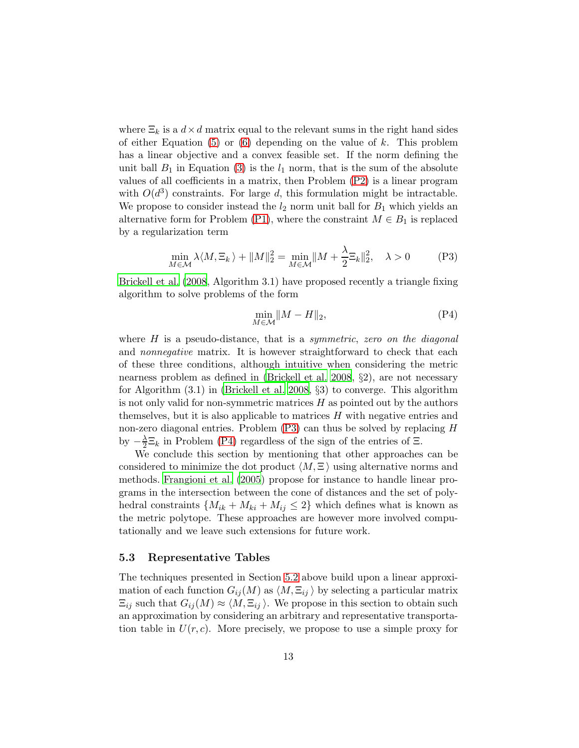where  $\Xi_k$  is a  $d \times d$  matrix equal to the relevant sums in the right hand sides of either Equation  $(5)$  or  $(6)$  depending on the value of k. This problem has a linear objective and a convex feasible set. If the norm defining the unit ball  $B_1$  in Equation [\(3\)](#page-7-2) is the  $l_1$  norm, that is the sum of the absolute values of all coefficients in a matrix, then Problem [\(P2\)](#page-11-3) is a linear program with  $O(d^3)$  constraints. For large d, this formulation might be intractable. We propose to consider instead the  $l_2$  norm unit ball for  $B_1$  which yields an alternative form for Problem [\(P1\)](#page-7-1), where the constraint  $M \in B_1$  is replaced by a regularization term

$$
\min_{M \in \mathcal{M}} \lambda \langle M, \Xi_k \rangle + \|M\|_2^2 = \min_{M \in \mathcal{M}} \|M + \frac{\lambda}{2} \Xi_k\|_2^2, \quad \lambda > 0 \tag{P3}
$$

[Brickell et al. \(2008,](#page-28-9) Algorithm 3.1) have proposed recently a triangle fixing algorithm to solve problems of the form

<span id="page-12-2"></span><span id="page-12-1"></span>
$$
\min_{M \in \mathcal{M}} \|M - H\|_2,\tag{P4}
$$

where H is a pseudo-distance, that is a *symmetric*, *zero on the diagonal* and *nonnegative* matrix. It is however straightforward to check that each of these three conditions, although intuitive when considering the metric nearness problem as defined in [\(Brickell et al. 2008](#page-28-9), §2), are not necessary for Algorithm  $(3.1)$  in [\(Brickell et al. 2008,](#page-28-9)  $\S$ 3) to converge. This algorithm is not only valid for non-symmetric matrices  $H$  as pointed out by the authors themselves, but it is also applicable to matrices  $H$  with negative entries and non-zero diagonal entries. Problem [\(P3\)](#page-12-1) can thus be solved by replacing H by  $-\frac{\lambda}{2}$  $\frac{\lambda}{2} \Xi_k$  in Problem [\(P4\)](#page-12-2) regardless of the sign of the entries of  $\Xi$ .

We conclude this section by mentioning that other approaches can be considered to minimize the dot product  $\langle M, \Xi \rangle$  using alternative norms and methods. [Frangioni et al. \(2005](#page-29-5)) propose for instance to handle linear programs in the intersection between the cone of distances and the set of polyhedral constraints  $\{M_{ik} + M_{ki} + M_{ij} \leq 2\}$  which defines what is known as the metric polytope. These approaches are however more involved computationally and we leave such extensions for future work.

#### <span id="page-12-0"></span>5.3 Representative Tables

The techniques presented in Section [5.2](#page-11-0) above build upon a linear approximation of each function  $G_{ij}(M)$  as  $\langle M, \Xi_{ij} \rangle$  by selecting a particular matrix  $\Xi_{ij}$  such that  $G_{ij}(M) \approx \langle M, \Xi_{ij} \rangle$ . We propose in this section to obtain such an approximation by considering an arbitrary and representative transportation table in  $U(r, c)$ . More precisely, we propose to use a simple proxy for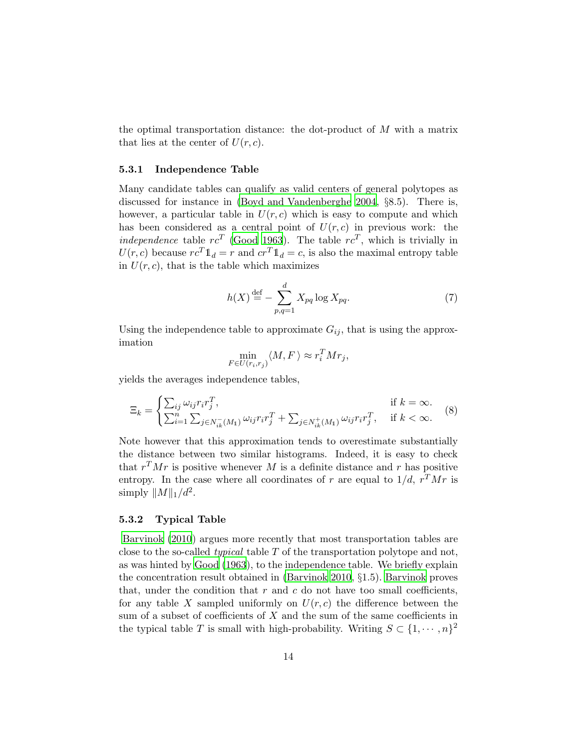the optimal transportation distance: the dot-product of  $M$  with a matrix that lies at the center of  $U(r, c)$ .

#### 5.3.1 Independence Table

Many candidate tables can qualify as valid centers of general polytopes as discussed for instance in [\(Boyd and Vandenberghe 2004](#page-28-7), §8.5). There is, however, a particular table in  $U(r, c)$  which is easy to compute and which has been considered as a central point of  $U(r, c)$  in previous work: the *independence* table  $rc^T$  [\(Good 1963](#page-29-6)). The table  $rc^T$ , which is trivially in  $U(r, c)$  because  $rc^{T}\mathbb{1}_{d} = r$  and  $cr^{T}\mathbb{1}_{d} = c$ , is also the maximal entropy table in  $U(r, c)$ , that is the table which maximizes

$$
h(X) \stackrel{\text{def}}{=} -\sum_{p,q=1}^{d} X_{pq} \log X_{pq}.\tag{7}
$$

Using the independence table to approximate  $G_{ij}$ , that is using the approximation

$$
\min_{F \in U(r_i, r_j)} \langle M, F \rangle \approx r_i^T M r_j,
$$

yields the averages independence tables,

$$
\Xi_k = \begin{cases} \sum_{ij} \omega_{ij} r_i r_j^T, & \text{if } k = \infty. \\ \sum_{i=1}^n \sum_{j \in N_{ik}^-(M_1)} \omega_{ij} r_i r_j^T + \sum_{j \in N_{ik}^+(M_1)} \omega_{ij} r_i r_j^T, & \text{if } k < \infty. \end{cases}
$$
(8)

Note however that this approximation tends to overestimate substantially the distance between two similar histograms. Indeed, it is easy to check that  $r^{T}Mr$  is positive whenever M is a definite distance and r has positive entropy. In the case where all coordinates of r are equal to  $1/d$ ,  $r^TMr$  is simply  $||M||_1/d^2$ .

#### <span id="page-13-0"></span>5.3.2 Typical Table

[Barvinok \(2010](#page-28-10)) argues more recently that most transportation tables are close to the so-called *typical* table T of the transportation polytope and not, as was hinted by [Good \(1963](#page-29-6)), to the independence table. We briefly explain the concentration result obtained in [\(Barvinok 2010,](#page-28-10) §1.5). [Barvinok](#page-28-10) proves that, under the condition that  $r$  and  $c$  do not have too small coefficients, for any table X sampled uniformly on  $U(r, c)$  the difference between the sum of a subset of coefficients of X and the sum of the same coefficients in the typical table T is small with high-probability. Writing  $S \subset \{1, \dots, n\}^2$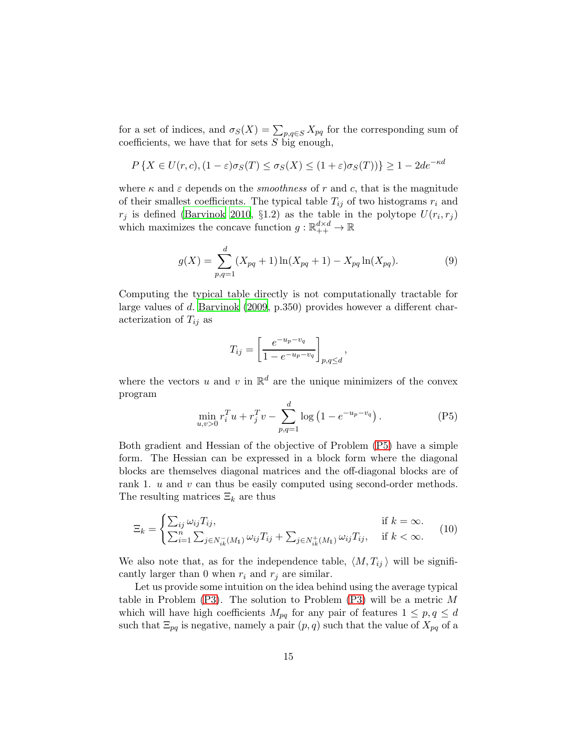for a set of indices, and  $\sigma_S(X) = \sum_{p,q \in S} X_{pq}$  for the corresponding sum of coefficients, we have that for sets  $S$  big enough,

$$
P\left\{X \in U(r,c), (1-\varepsilon)\sigma_S(T) \le \sigma_S(X) \le (1+\varepsilon)\sigma_S(T)\right\} \ge 1 - 2de^{-\kappa d}
$$

where  $\kappa$  and  $\varepsilon$  depends on the *smoothness* of r and c, that is the magnitude of their smallest coefficients. The typical table  $T_{ij}$  of two histograms  $r_i$  and  $r_j$  is defined [\(Barvinok 2010](#page-28-10), §1.2) as the table in the polytope  $U(r_i, r_j)$ which maximizes the concave function  $g : \mathbb{R}_{++}^{d \times d} \to \mathbb{R}$ 

$$
g(X) = \sum_{p,q=1}^{d} (X_{pq} + 1) \ln(X_{pq} + 1) - X_{pq} \ln(X_{pq}).
$$
 (9)

Computing the typical table directly is not computationally tractable for large values of d. [Barvinok \(2009](#page-27-1), p.350) provides however a different characterization of  $T_{ij}$  as

<span id="page-14-0"></span>
$$
T_{ij} = \left[\frac{e^{-u_p - v_q}}{1 - e^{-u_p - v_q}}\right]_{p,q \le d},
$$

where the vectors u and v in  $\mathbb{R}^d$  are the unique minimizers of the convex program

$$
\min_{u,v>0} r_i^T u + r_j^T v - \sum_{p,q=1}^d \log \left( 1 - e^{-u_p - v_q} \right). \tag{P5}
$$

Both gradient and Hessian of the objective of Problem [\(P5\)](#page-14-0) have a simple form. The Hessian can be expressed in a block form where the diagonal blocks are themselves diagonal matrices and the off-diagonal blocks are of rank 1. *u* and *v* can thus be easily computed using second-order methods. The resulting matrices  $\Xi_k$  are thus

$$
\Xi_k = \begin{cases}\n\sum_{ij} \omega_{ij} T_{ij}, & \text{if } k = \infty. \\
\sum_{i=1}^n \sum_{j \in N_{ik}^-(M_1)} \omega_{ij} T_{ij} + \sum_{j \in N_{ik}^+(M_1)} \omega_{ij} T_{ij}, & \text{if } k < \infty.\n\end{cases}
$$
(10)

We also note that, as for the independence table,  $\langle M, T_{ij} \rangle$  will be significantly larger than 0 when  $r_i$  and  $r_j$  are similar.

Let us provide some intuition on the idea behind using the average typical table in Problem  $(P3)$ . The solution to Problem  $(P3)$  will be a metric M which will have high coefficients  $M_{pq}$  for any pair of features  $1 \leq p, q \leq d$ such that  $\Xi_{pq}$  is negative, namely a pair  $(p, q)$  such that the value of  $X_{pq}$  of a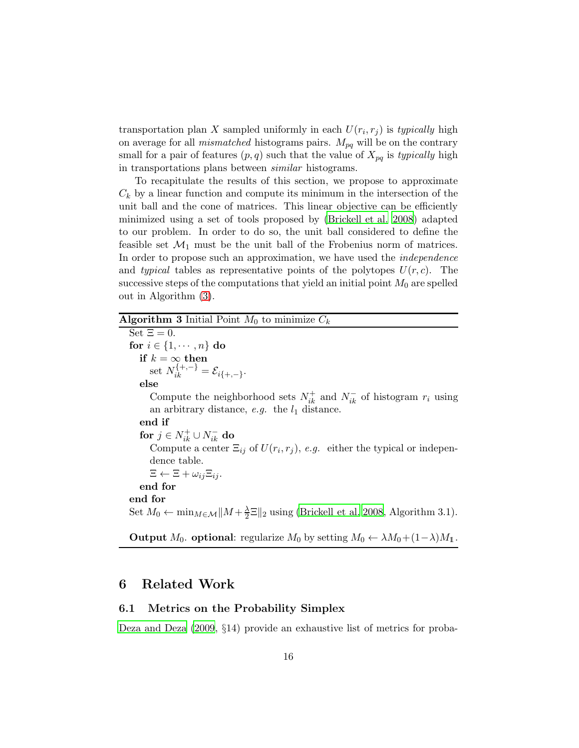transportation plan X sampled uniformly in each  $U(r_i, r_j)$  is *typically* high on average for all *mismatched* histograms pairs.  $M_{pq}$  will be on the contrary small for a pair of features  $(p, q)$  such that the value of  $X_{pq}$  is *typically* high in transportations plans between *similar* histograms.

To recapitulate the results of this section, we propose to approximate  $C_k$  by a linear function and compute its minimum in the intersection of the unit ball and the cone of matrices. This linear objective can be efficiently minimized using a set of tools proposed by [\(Brickell et al. 2008](#page-28-9)) adapted to our problem. In order to do so, the unit ball considered to define the feasible set  $\mathcal{M}_1$  must be the unit ball of the Frobenius norm of matrices. In order to propose such an approximation, we have used the *independence* and *typical* tables as representative points of the polytopes  $U(r, c)$ . The successive steps of the computations that yield an initial point  $M_0$  are spelled out in Algorithm [\(3\)](#page-15-1).

### Algorithm 3 Initial Point  $M_0$  to minimize  $C_k$

<span id="page-15-1"></span>Set  $\Xi = 0$ . for  $i \in \{1, \dots, n\}$  do  $\mathbf{if}\,\, k = \mathop{\infty}\limits_{\jmath_\text{{\bf +}\,}{\bf -}\mathcal{V}}\mathbf{then}$ set  $N_{ik}^{\{+, -\}} = \mathcal{E}_{i\{+,-\}}.$ else Compute the neighborhood sets  $N_{ik}^+$  and  $N_{ik}^-$  of histogram  $r_i$  using an arbitrary distance,  $e.g.$  the  $l_1$  distance. end if for  $j \in N_{ik}^+ \cup N_{ik}^-$  do Compute a center  $\Xi_{ij}$  of  $U(r_i, r_j)$ , *e.g.* either the typical or independence table.  $\Xi \leftarrow \Xi + \omega_{ij} \Xi_{ij}.$ end for end for Set  $M_0 \leftarrow \min_{M \in \mathcal{M}} ||M + \frac{\lambda}{2} \Xi||_2$  using [\(Brickell et al. 2008](#page-28-9), Algorithm 3.1).

**Output**  $M_0$ . **optional**: regularize  $M_0$  by setting  $M_0 \leftarrow \lambda M_0 + (1 - \lambda)M_1$ .

# <span id="page-15-0"></span>6 Related Work

### 6.1 Metrics on the Probability Simplex

[Deza and Deza \(2009](#page-28-3), §14) provide an exhaustive list of metrics for proba-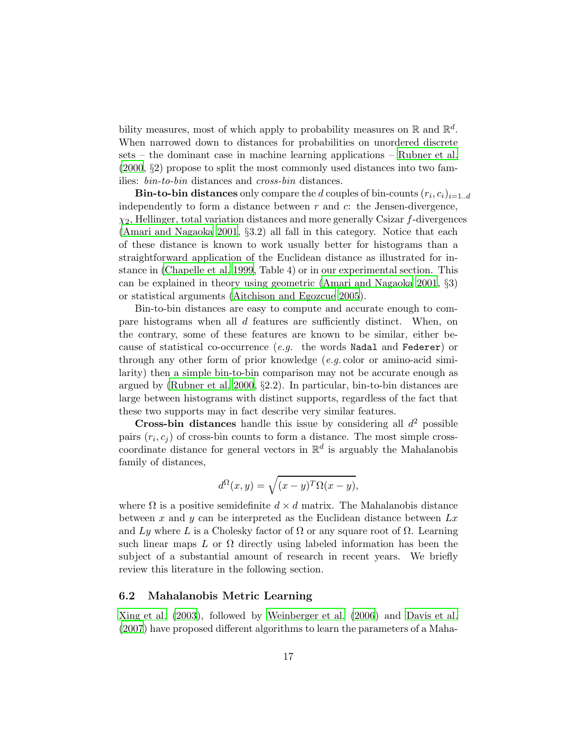bility measures, most of which apply to probability measures on  $\mathbb{R}$  and  $\mathbb{R}^d$ . When narrowed down to distances for probabilities on unordered discrete sets – the dominant case in machine learning applications – [Rubner et al.](#page-30-5) [\(2000,](#page-30-5) §2) propose to split the most commonly used distances into two families: *bin-to-bin* distances and *cross-bin* distances.

**Bin-to-bin distances** only compare the  $d$  couples of bin-counts  $(r_i, c_i)_{i=1..d}$ independently to form a distance between  $r$  and  $c$ : the Jensen-divergence,  $\chi_2$ , Hellinger, total variation distances and more generally Csizar f-divergences [\(Amari and Nagaoka 2001](#page-27-2), §3.2) all fall in this category. Notice that each of these distance is known to work usually better for histograms than a straightforward application of the Euclidean distance as illustrated for instance in [\(Chapelle et al. 1999](#page-28-11), Table 4) or in our experimental section. This can be explained in theory using geometric [\(Amari and Nagaoka 2001,](#page-27-2) §3) or statistical arguments [\(Aitchison and Egozcue 2005](#page-27-3)).

Bin-to-bin distances are easy to compute and accurate enough to compare histograms when all d features are sufficiently distinct. When, on the contrary, some of these features are known to be similar, either because of statistical co-occurrence (*e.g.* the words Nadal and Federer) or through any other form of prior knowledge (*e.g.* color or amino-acid similarity) then a simple bin-to-bin comparison may not be accurate enough as argued by [\(Rubner et al. 2000,](#page-30-5) §2.2). In particular, bin-to-bin distances are large between histograms with distinct supports, regardless of the fact that these two supports may in fact describe very similar features.

**Cross-bin distances** handle this issue by considering all  $d^2$  possible pairs  $(r_i, c_j)$  of cross-bin counts to form a distance. The most simple crosscoordinate distance for general vectors in  $\mathbb{R}^d$  is arguably the Mahalanobis family of distances,

$$
d^{\Omega}(x,y) = \sqrt{(x-y)^T \Omega(x-y)},
$$

where  $\Omega$  is a positive semidefinite  $d \times d$  matrix. The Mahalanobis distance between x and y can be interpreted as the Euclidean distance between  $Lx$ and Ly where L is a Cholesky factor of  $\Omega$  or any square root of  $\Omega$ . Learning such linear maps L or  $\Omega$  directly using labeled information has been the subject of a substantial amount of research in recent years. We briefly review this literature in the following section.

### 6.2 Mahalanobis Metric Learning

[Xing et al. \(2003](#page-31-0)), followed by [Weinberger et al. \(2006](#page-31-1)) and [Davis et al.](#page-28-4) [\(2007\)](#page-28-4) have proposed different algorithms to learn the parameters of a Maha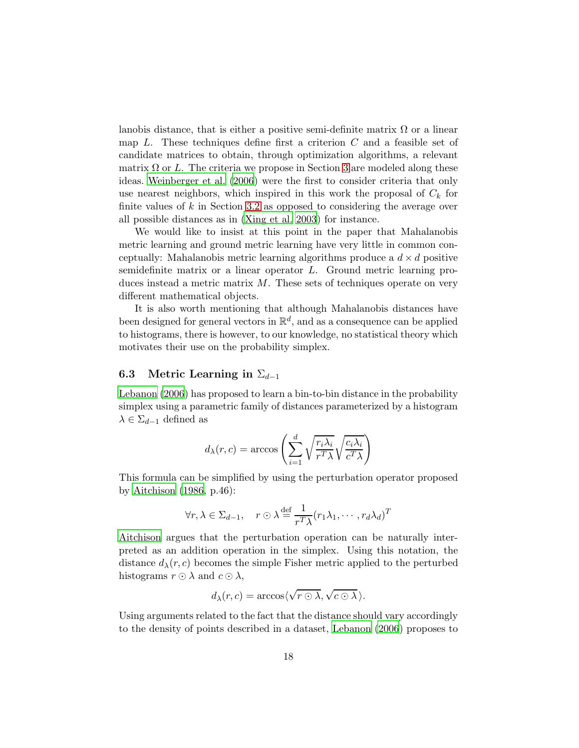lanobis distance, that is either a positive semi-definite matrix  $\Omega$  or a linear map  $L$ . These techniques define first a criterion  $C$  and a feasible set of candidate matrices to obtain, through optimization algorithms, a relevant matrix  $\Omega$  or L. The criteria we propose in Section [3](#page-4-0) are modeled along these ideas. [Weinberger et al. \(2006](#page-31-1)) were the first to consider criteria that only use nearest neighbors, which inspired in this work the proposal of  $C_k$  for finite values of  $k$  in Section [3.2](#page-5-0) as opposed to considering the average over all possible distances as in [\(Xing et al. 2003](#page-31-0)) for instance.

We would like to insist at this point in the paper that Mahalanobis metric learning and ground metric learning have very little in common conceptually: Mahalanobis metric learning algorithms produce a  $d \times d$  positive semidefinite matrix or a linear operator L. Ground metric learning produces instead a metric matrix  $M$ . These sets of techniques operate on very different mathematical objects.

It is also worth mentioning that although Mahalanobis distances have been designed for general vectors in  $\mathbb{R}^d$ , and as a consequence can be applied to histograms, there is however, to our knowledge, no statistical theory which motivates their use on the probability simplex.

### 6.3 Metric Learning in  $\Sigma_{d-1}$

[Lebanon \(2006](#page-29-7)) has proposed to learn a bin-to-bin distance in the probability simplex using a parametric family of distances parameterized by a histogram  $\lambda \in \Sigma_{d-1}$  defined as

$$
d_{\lambda}(r, c) = \arccos\left(\sum_{i=1}^{d} \sqrt{\frac{r_i \lambda_i}{r^T \lambda}} \sqrt{\frac{c_i \lambda_i}{c^T \lambda}}\right)
$$

This formula can be simplified by using the perturbation operator proposed by [Aitchison \(1986](#page-27-4), p.46):

$$
\forall r, \lambda \in \Sigma_{d-1}, \quad r \odot \lambda \stackrel{\text{def}}{=} \frac{1}{r^T \lambda} (r_1 \lambda_1, \cdots, r_d \lambda_d)^T
$$

[Aitchison](#page-27-4) argues that the perturbation operation can be naturally interpreted as an addition operation in the simplex. Using this notation, the distance  $d_{\lambda}(r, c)$  becomes the simple Fisher metric applied to the perturbed histograms  $r \odot \lambda$  and  $c \odot \lambda$ ,

$$
d_{\lambda}(r,c) = \arccos\langle \sqrt{r \odot \lambda}, \sqrt{c \odot \lambda} \rangle.
$$

Using arguments related to the fact that the distance should vary accordingly to the density of points described in a dataset, [Lebanon \(2006](#page-29-7)) proposes to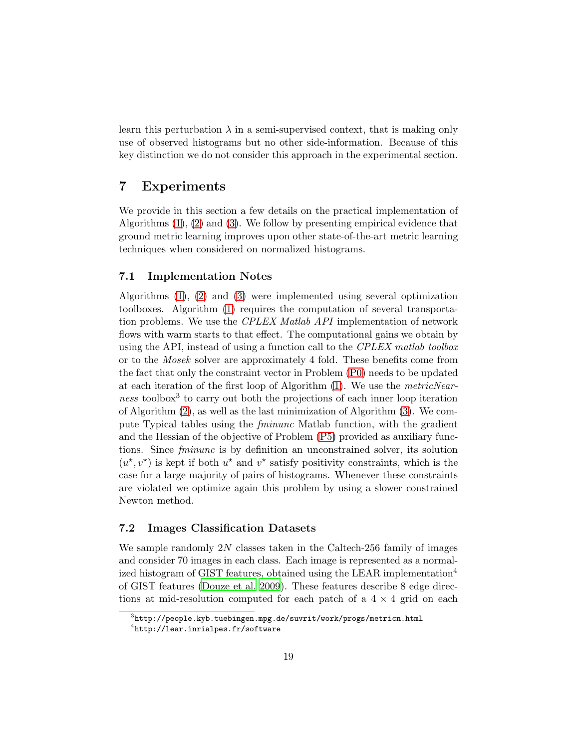learn this perturbation  $\lambda$  in a semi-supervised context, that is making only use of observed histograms but no other side-information. Because of this key distinction we do not consider this approach in the experimental section.

# <span id="page-18-0"></span>7 Experiments

We provide in this section a few details on the practical implementation of Algorithms [\(1\)](#page-8-0), [\(2\)](#page-10-0) and [\(3\)](#page-15-1). We follow by presenting empirical evidence that ground metric learning improves upon other state-of-the-art metric learning techniques when considered on normalized histograms.

### 7.1 Implementation Notes

Algorithms [\(1\)](#page-8-0), [\(2\)](#page-10-0) and [\(3\)](#page-15-1) were implemented using several optimization toolboxes. Algorithm [\(1\)](#page-8-0) requires the computation of several transportation problems. We use the *CPLEX Matlab API* implementation of network flows with warm starts to that effect. The computational gains we obtain by using the API, instead of using a function call to the *CPLEX matlab toolbox* or to the *Mosek* solver are approximately 4 fold. These benefits come from the fact that only the constraint vector in Problem [\(P0\)](#page-4-1) needs to be updated at each iteration of the first loop of Algorithm [\(1\)](#page-8-0). We use the *metricNearness* toolbox<sup>3</sup> to carry out both the projections of each inner loop iteration of Algorithm [\(2\)](#page-10-0), as well as the last minimization of Algorithm [\(3\)](#page-15-1). We compute Typical tables using the *fminunc* Matlab function, with the gradient and the Hessian of the objective of Problem [\(P5\)](#page-14-0) provided as auxiliary functions. Since *fminunc* is by definition an unconstrained solver, its solution  $(u^*, v^*)$  is kept if both  $u^*$  and  $v^*$  satisfy positivity constraints, which is the case for a large majority of pairs of histograms. Whenever these constraints are violated we optimize again this problem by using a slower constrained Newton method.

### 7.2 Images Classification Datasets

We sample randomly 2N classes taken in the Caltech-256 family of images and consider 70 images in each class. Each image is represented as a normalized histogram of GIST features, obtained using the LEAR implementation<sup>4</sup> of GIST features [\(Douze et al. 2009](#page-28-0)). These features describe 8 edge directions at mid-resolution computed for each patch of a  $4 \times 4$  grid on each

 $^3$ http://people.kyb.tuebingen.mpg.de/suvrit/work/progs/metricn.html

<sup>4</sup> http://lear.inrialpes.fr/software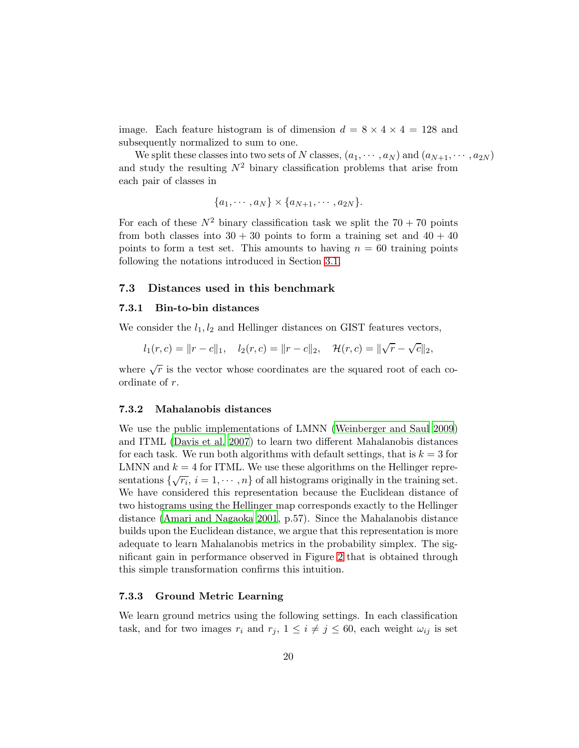image. Each feature histogram is of dimension  $d = 8 \times 4 \times 4 = 128$  and subsequently normalized to sum to one.

We split these classes into two sets of N classes,  $(a_1, \dots, a_N)$  and  $(a_{N+1}, \dots, a_{2N})$ and study the resulting  $N^2$  binary classification problems that arise from each pair of classes in

$$
\{a_1,\cdots,a_N\}\times\{a_{N+1},\cdots,a_{2N}\}.
$$

For each of these  $N^2$  binary classification task we split the  $70 + 70$  points from both classes into  $30 + 30$  points to form a training set and  $40 + 40$ points to form a test set. This amounts to having  $n = 60$  training points following the notations introduced in Section [3.1.](#page-5-1)

#### 7.3 Distances used in this benchmark

#### 7.3.1 Bin-to-bin distances

We consider the  $l_1, l_2$  and Hellinger distances on GIST features vectors,

$$
l_1(r, c) = ||r - c||_1
$$
,  $l_2(r, c) = ||r - c||_2$ ,  $\mathcal{H}(r, c) = ||\sqrt{r} - \sqrt{c}||_2$ ,

where  $\sqrt{r}$  is the vector whose coordinates are the squared root of each coordinate of r.

#### <span id="page-19-0"></span>7.3.2 Mahalanobis distances

We use the public implementations of LMNN [\(Weinberger and Saul 2009](#page-31-2)) and ITML [\(Davis et al. 2007](#page-28-4)) to learn two different Mahalanobis distances for each task. We run both algorithms with default settings, that is  $k = 3$  for LMNN and  $k = 4$  for ITML. We use these algorithms on the Hellinger representations  $\{\sqrt{r_i}, i = 1, \cdots, n\}$  of all histograms originally in the training set. We have considered this representation because the Euclidean distance of two histograms using the Hellinger map corresponds exactly to the Hellinger distance [\(Amari and Nagaoka 2001,](#page-27-2) p.57). Since the Mahalanobis distance builds upon the Euclidean distance, we argue that this representation is more adequate to learn Mahalanobis metrics in the probability simplex. The significant gain in performance observed in Figure [2](#page-24-0) that is obtained through this simple transformation confirms this intuition.

#### 7.3.3 Ground Metric Learning

We learn ground metrics using the following settings. In each classification task, and for two images  $r_i$  and  $r_j$ ,  $1 \leq i \neq j \leq 60$ , each weight  $\omega_{ij}$  is set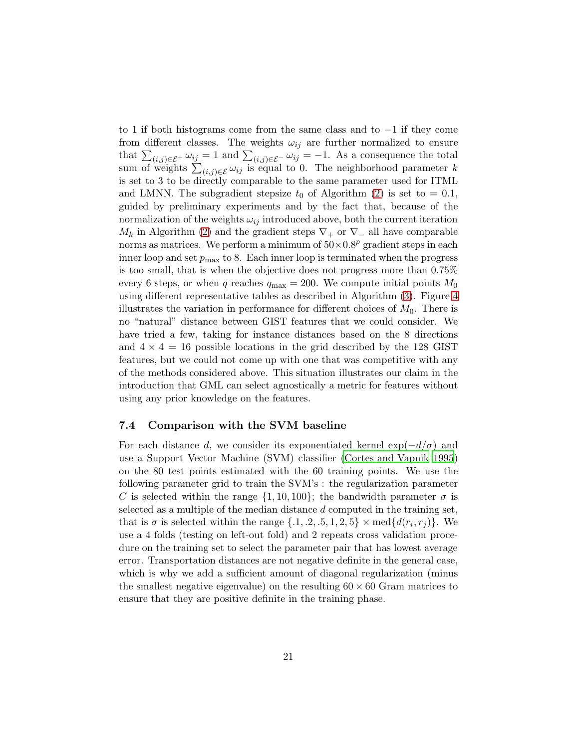to 1 if both histograms come from the same class and to −1 if they come from different classes. The weights  $\omega_{ij}$  are further normalized to ensure that  $\sum_{(i,j)\in\mathcal{E}^+}\omega_{ij}=1$  and  $\sum_{(i,j)\in\mathcal{E}^-}\omega_{ij}=-1$ . As a consequence the total sum of weights  $\sum_{(i,j)\in\mathcal{E}} \omega_{ij}$  is equal to 0. The neighborhood parameter k is set to 3 to be directly comparable to the same parameter used for ITML and LMNN. The subgradient stepsize  $t_0$  of Algorithm [\(2\)](#page-10-0) is set to  $= 0.1$ , guided by preliminary experiments and by the fact that, because of the normalization of the weights  $\omega_{ij}$  introduced above, both the current iteration  $M_k$  in Algorithm [\(2\)](#page-10-0) and the gradient steps  $\nabla_+$  or  $\nabla_-$  all have comparable norms as matrices. We perform a minimum of  $50 \times 0.8^p$  gradient steps in each inner loop and set  $p_{\text{max}}$  to 8. Each inner loop is terminated when the progress is too small, that is when the objective does not progress more than 0.75% every 6 steps, or when q reaches  $q_{\text{max}} = 200$ . We compute initial points  $M_0$ using different representative tables as described in Algorithm [\(3\)](#page-15-1). Figure [4](#page-26-0) illustrates the variation in performance for different choices of  $M_0$ . There is no "natural" distance between GIST features that we could consider. We have tried a few, taking for instance distances based on the 8 directions and  $4 \times 4 = 16$  possible locations in the grid described by the 128 GIST features, but we could not come up with one that was competitive with any of the methods considered above. This situation illustrates our claim in the introduction that GML can select agnostically a metric for features without using any prior knowledge on the features.

### 7.4 Comparison with the SVM baseline

For each distance d, we consider its exponentiated kernel  $\exp(-d/\sigma)$  and use a Support Vector Machine (SVM) classifier [\(Cortes and Vapnik 1995](#page-28-12)) on the 80 test points estimated with the 60 training points. We use the following parameter grid to train the SVM's : the regularization parameter C is selected within the range  $\{1, 10, 100\}$ ; the bandwidth parameter  $\sigma$  is selected as a multiple of the median distance d computed in the training set, that is  $\sigma$  is selected within the range  $\{.1, .2, .5, 1, 2, 5\} \times \text{med}\{d(r_i, r_j)\}\.$  We use a 4 folds (testing on left-out fold) and 2 repeats cross validation procedure on the training set to select the parameter pair that has lowest average error. Transportation distances are not negative definite in the general case, which is why we add a sufficient amount of diagonal regularization (minus the smallest negative eigenvalue) on the resulting  $60 \times 60$  Gram matrices to ensure that they are positive definite in the training phase.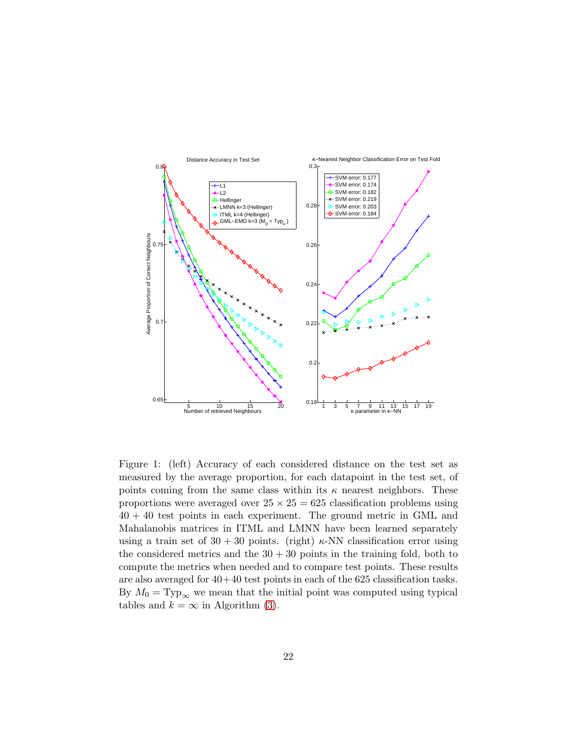

<span id="page-21-0"></span>Figure 1: (left) Accuracy of each considered distance on the test set as measured by the average proportion, for each datapoint in the test set, of points coming from the same class within its  $\kappa$  nearest neighbors. These proportions were averaged over  $25 \times 25 = 625$  classification problems using  $40 + 40$  test points in each experiment. The ground metric in GML and Mahalanobis matrices in ITML and LMNN have been learned separately using a train set of  $30 + 30$  points. (right)  $\kappa$ -NN classification error using the considered metrics and the  $30 + 30$  points in the training fold, both to compute the metrics when needed and to compare test points. These results are also averaged for  $40+40$  test points in each of the 625 classification tasks. By  $M_0 = \text{Typ}_{\infty}$  we mean that the initial point was computed using typical tables and  $k = \infty$  in Algorithm [\(3\)](#page-15-1).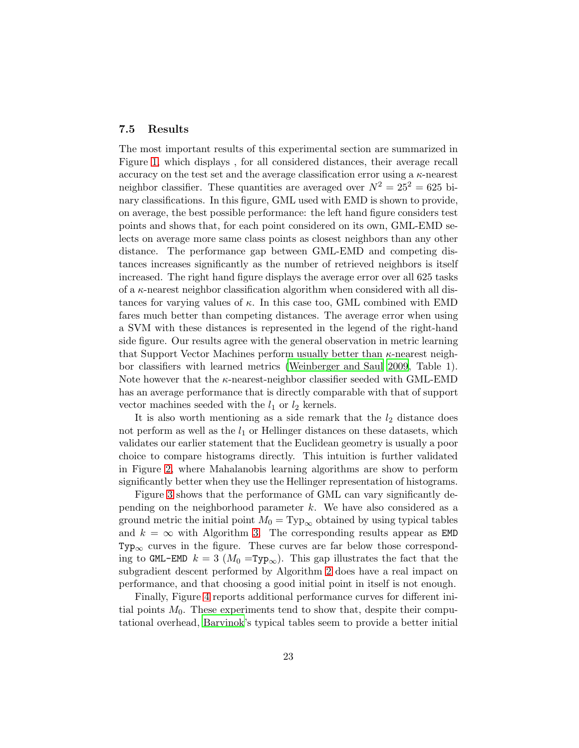#### 7.5 Results

The most important results of this experimental section are summarized in Figure [1,](#page-21-0) which displays , for all considered distances, their average recall accuracy on the test set and the average classification error using a  $\kappa$ -nearest neighbor classifier. These quantities are averaged over  $N^2 = 25^2 = 625$  binary classifications. In this figure, GML used with EMD is shown to provide, on average, the best possible performance: the left hand figure considers test points and shows that, for each point considered on its own, GML-EMD selects on average more same class points as closest neighbors than any other distance. The performance gap between GML-EMD and competing distances increases significantly as the number of retrieved neighbors is itself increased. The right hand figure displays the average error over all 625 tasks of a κ-nearest neighbor classification algorithm when considered with all distances for varying values of  $\kappa$ . In this case too, GML combined with EMD fares much better than competing distances. The average error when using a SVM with these distances is represented in the legend of the right-hand side figure. Our results agree with the general observation in metric learning that Support Vector Machines perform usually better than  $\kappa$ -nearest neighbor classifiers with learned metrics [\(Weinberger and Saul 2009](#page-31-2), Table 1). Note however that the  $\kappa$ -nearest-neighbor classifier seeded with GML-EMD has an average performance that is directly comparable with that of support vector machines seeded with the  $l_1$  or  $l_2$  kernels.

It is also worth mentioning as a side remark that the  $l_2$  distance does not perform as well as the  $l_1$  or Hellinger distances on these datasets, which validates our earlier statement that the Euclidean geometry is usually a poor choice to compare histograms directly. This intuition is further validated in Figure [2,](#page-24-0) where Mahalanobis learning algorithms are show to perform significantly better when they use the Hellinger representation of histograms.

Figure [3](#page-25-0) shows that the performance of GML can vary significantly depending on the neighborhood parameter  $k$ . We have also considered as a ground metric the initial point  $M_0 = \text{Typ}_{\infty}$  obtained by using typical tables and  $k = \infty$  with Algorithm [3.](#page-15-1) The corresponding results appear as **EMD**  $Type<sub>\infty</sub>$  curves in the figure. These curves are far below those corresponding to GML-EMD  $k = 3$  ( $M_0 = \text{Typ}_{\infty}$ ). This gap illustrates the fact that the subgradient descent performed by Algorithm [2](#page-10-0) does have a real impact on performance, and that choosing a good initial point in itself is not enough.

Finally, Figure [4](#page-26-0) reports additional performance curves for different initial points  $M_0$ . These experiments tend to show that, despite their computational overhead, [Barvinok](#page-27-1)'s typical tables seem to provide a better initial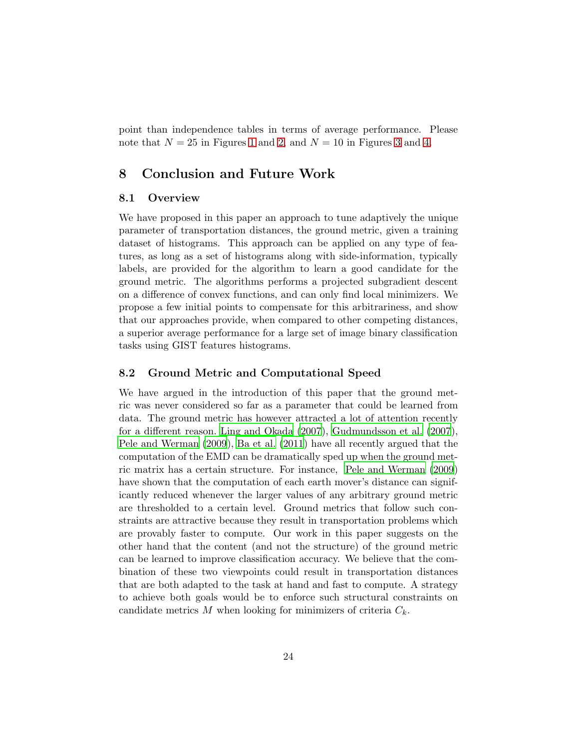point than independence tables in terms of average performance. Please note that  $N = 25$  in Figures [1](#page-21-0) and [2,](#page-24-0) and  $N = 10$  in Figures [3](#page-25-0) and [4.](#page-26-0)

# <span id="page-23-0"></span>8 Conclusion and Future Work

### 8.1 Overview

We have proposed in this paper an approach to tune adaptively the unique parameter of transportation distances, the ground metric, given a training dataset of histograms. This approach can be applied on any type of features, as long as a set of histograms along with side-information, typically labels, are provided for the algorithm to learn a good candidate for the ground metric. The algorithms performs a projected subgradient descent on a difference of convex functions, and can only find local minimizers. We propose a few initial points to compensate for this arbitrariness, and show that our approaches provide, when compared to other competing distances, a superior average performance for a large set of image binary classification tasks using GIST features histograms.

### 8.2 Ground Metric and Computational Speed

We have argued in the introduction of this paper that the ground metric was never considered so far as a parameter that could be learned from data. The ground metric has however attracted a lot of attention recently for a different reason. [Ling and Okada \(2007](#page-30-10)), [Gudmundsson et al. \(2007](#page-29-8)), [Pele and Werman \(2009](#page-30-6)), [Ba et al. \(2011](#page-27-5)) have all recently argued that the computation of the EMD can be dramatically sped up when the ground metric matrix has a certain structure. For instance, [Pele and Werman \(2009](#page-30-6)) have shown that the computation of each earth mover's distance can significantly reduced whenever the larger values of any arbitrary ground metric are thresholded to a certain level. Ground metrics that follow such constraints are attractive because they result in transportation problems which are provably faster to compute. Our work in this paper suggests on the other hand that the content (and not the structure) of the ground metric can be learned to improve classification accuracy. We believe that the combination of these two viewpoints could result in transportation distances that are both adapted to the task at hand and fast to compute. A strategy to achieve both goals would be to enforce such structural constraints on candidate metrics M when looking for minimizers of criteria  $C_k$ .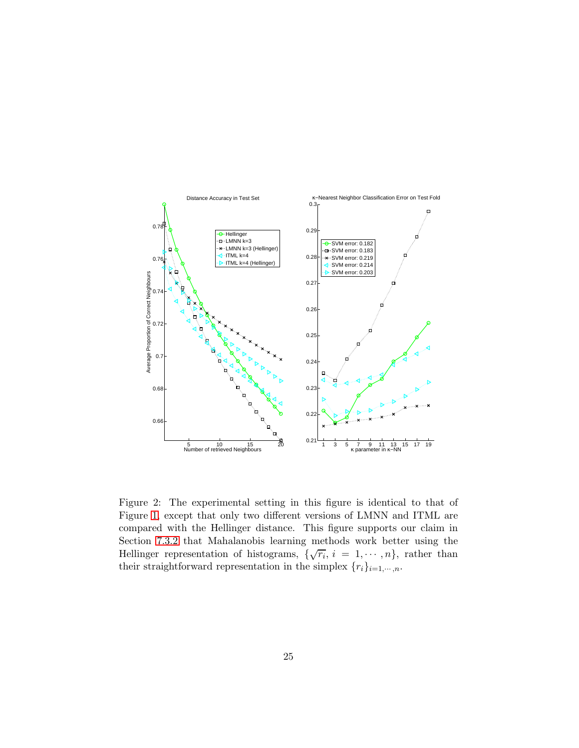

<span id="page-24-0"></span>Figure 2: The experimental setting in this figure is identical to that of Figure [1,](#page-21-0) except that only two different versions of LMNN and ITML are compared with the Hellinger distance. This figure supports our claim in Section [7.3.2](#page-19-0) that Mahalanobis learning methods work better using the Hellinger representation of histograms,  $\{\sqrt{r_i}, i = 1, \dots, n\}$ , rather than their straightforward representation in the simplex  $\{r_i\}_{i=1,\cdots,n}$ .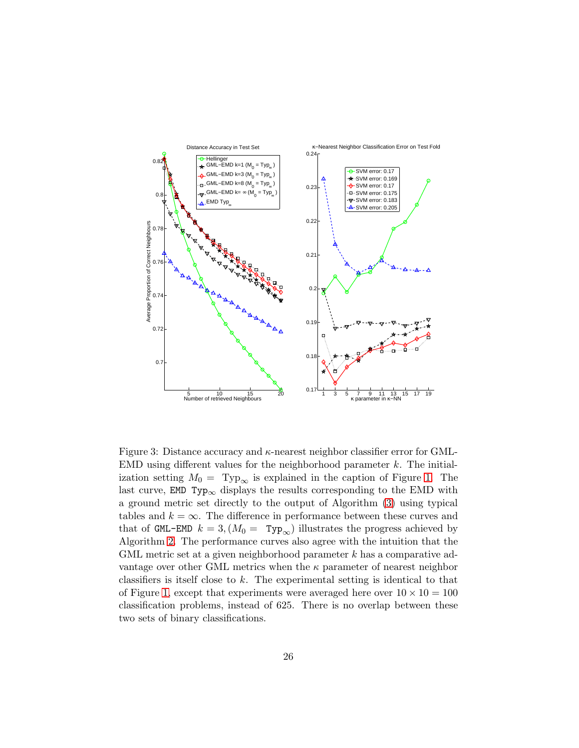

<span id="page-25-0"></span>Figure 3: Distance accuracy and  $\kappa$ -nearest neighbor classifier error for GML-EMD using different values for the neighborhood parameter  $k$ . The initialization setting  $M_0 = \text{Typ}_{\infty}$  is explained in the caption of Figure [1.](#page-21-0) The last curve, EMD Typ<sub>∞</sub> displays the results corresponding to the EMD with a ground metric set directly to the output of Algorithm [\(3\)](#page-15-1) using typical tables and  $k = \infty$ . The difference in performance between these curves and that of GML-EMD  $k = 3$ ,  $(M_0 = \text{Typ}_{\infty})$  illustrates the progress achieved by Algorithm [2.](#page-10-0) The performance curves also agree with the intuition that the GML metric set at a given neighborhood parameter k has a comparative advantage over other GML metrics when the  $\kappa$  parameter of nearest neighbor classifiers is itself close to k. The experimental setting is identical to that of Figure [1,](#page-21-0) except that experiments were averaged here over  $10 \times 10 = 100$ classification problems, instead of 625. There is no overlap between these two sets of binary classifications.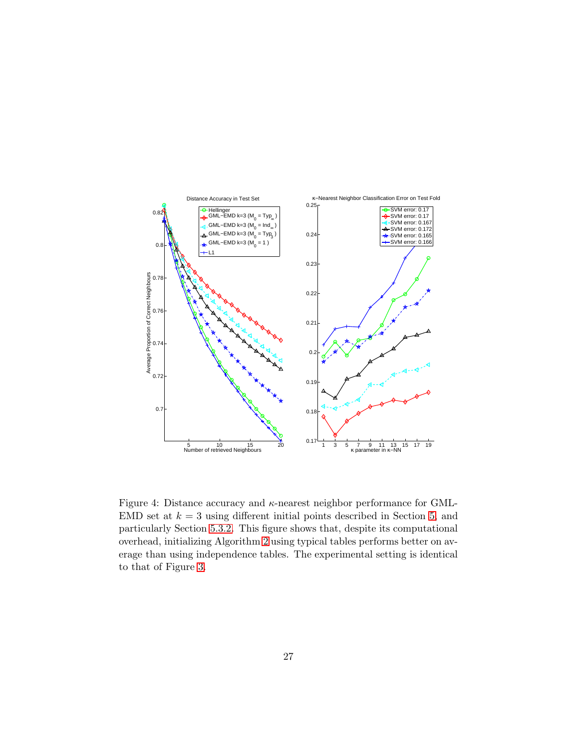

<span id="page-26-0"></span>Figure 4: Distance accuracy and  $\kappa$ -nearest neighbor performance for GML-EMD set at  $k = 3$  using different initial points described in Section [5,](#page-9-0) and particularly Section [5.3.2.](#page-13-0) This figure shows that, despite its computational overhead, initializing Algorithm [2](#page-10-0) using typical tables performs better on average than using independence tables. The experimental setting is identical to that of Figure [3.](#page-25-0)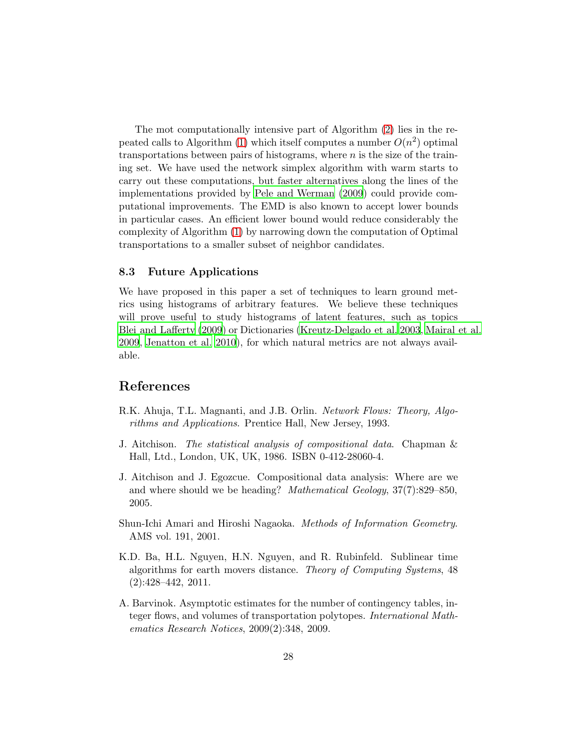The mot computationally intensive part of Algorithm [\(2\)](#page-10-0) lies in the re-peated calls to Algorithm [\(1\)](#page-8-0) which itself computes a number  $O(n^2)$  optimal transportations between pairs of histograms, where  $n$  is the size of the training set. We have used the network simplex algorithm with warm starts to carry out these computations, but faster alternatives along the lines of the implementations provided by [Pele and Werman \(2009](#page-30-6)) could provide computational improvements. The EMD is also known to accept lower bounds in particular cases. An efficient lower bound would reduce considerably the complexity of Algorithm [\(1\)](#page-8-0) by narrowing down the computation of Optimal transportations to a smaller subset of neighbor candidates.

#### 8.3 Future Applications

We have proposed in this paper a set of techniques to learn ground metrics using histograms of arbitrary features. We believe these techniques will prove useful to study histograms of latent features, such as topics [Blei and Lafferty \(2009](#page-28-2)) or Dictionaries [\(Kreutz-Delgado et al. 2003,](#page-29-9) [Mairal et al.](#page-30-11) [2009](#page-30-11), [Jenatton et al. 2010\)](#page-29-10), for which natural metrics are not always available.

# References

- <span id="page-27-0"></span>R.K. Ahuja, T.L. Magnanti, and J.B. Orlin. *Network Flows: Theory, Algorithms and Applications*. Prentice Hall, New Jersey, 1993.
- <span id="page-27-4"></span>J. Aitchison. *The statistical analysis of compositional data*. Chapman & Hall, Ltd., London, UK, UK, 1986. ISBN 0-412-28060-4.
- <span id="page-27-3"></span>J. Aitchison and J. Egozcue. Compositional data analysis: Where are we and where should we be heading? *Mathematical Geology*, 37(7):829–850, 2005.
- <span id="page-27-2"></span>Shun-Ichi Amari and Hiroshi Nagaoka. *Methods of Information Geometry*. AMS vol. 191, 2001.
- <span id="page-27-5"></span>K.D. Ba, H.L. Nguyen, H.N. Nguyen, and R. Rubinfeld. Sublinear time algorithms for earth movers distance. *Theory of Computing Systems*, 48 (2):428–442, 2011.
- <span id="page-27-1"></span>A. Barvinok. Asymptotic estimates for the number of contingency tables, integer flows, and volumes of transportation polytopes. *International Mathematics Research Notices*, 2009(2):348, 2009.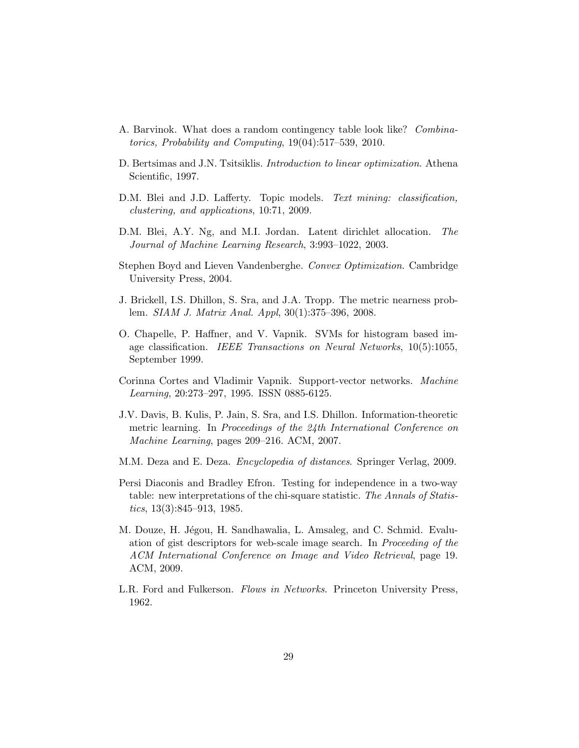- <span id="page-28-10"></span>A. Barvinok. What does a random contingency table look like? *Combinatorics, Probability and Computing*, 19(04):517–539, 2010.
- <span id="page-28-8"></span>D. Bertsimas and J.N. Tsitsiklis. *Introduction to linear optimization*. Athena Scientific, 1997.
- <span id="page-28-2"></span>D.M. Blei and J.D. Lafferty. Topic models. *Text mining: classification, clustering, and applications*, 10:71, 2009.
- <span id="page-28-1"></span>D.M. Blei, A.Y. Ng, and M.I. Jordan. Latent dirichlet allocation. *The Journal of Machine Learning Research*, 3:993–1022, 2003.
- <span id="page-28-7"></span>Stephen Boyd and Lieven Vandenberghe. *Convex Optimization*. Cambridge University Press, 2004.
- <span id="page-28-9"></span>J. Brickell, I.S. Dhillon, S. Sra, and J.A. Tropp. The metric nearness problem. *SIAM J. Matrix Anal. Appl*, 30(1):375–396, 2008.
- <span id="page-28-11"></span>O. Chapelle, P. Haffner, and V. Vapnik. SVMs for histogram based image classification. *IEEE Transactions on Neural Networks*, 10(5):1055, September 1999.
- <span id="page-28-12"></span>Corinna Cortes and Vladimir Vapnik. Support-vector networks. *Machine Learning*, 20:273–297, 1995. ISSN 0885-6125.
- <span id="page-28-4"></span>J.V. Davis, B. Kulis, P. Jain, S. Sra, and I.S. Dhillon. Information-theoretic metric learning. In *Proceedings of the 24th International Conference on Machine Learning*, pages 209–216. ACM, 2007.
- <span id="page-28-3"></span>M.M. Deza and E. Deza. *Encyclopedia of distances*. Springer Verlag, 2009.
- <span id="page-28-5"></span>Persi Diaconis and Bradley Efron. Testing for independence in a two-way table: new interpretations of the chi-square statistic. *The Annals of Statistics*, 13(3):845–913, 1985.
- <span id="page-28-0"></span>M. Douze, H. Jégou, H. Sandhawalia, L. Amsaleg, and C. Schmid. Evaluation of gist descriptors for web-scale image search. In *Proceeding of the ACM International Conference on Image and Video Retrieval*, page 19. ACM, 2009.
- <span id="page-28-6"></span>L.R. Ford and Fulkerson. *Flows in Networks*. Princeton University Press, 1962.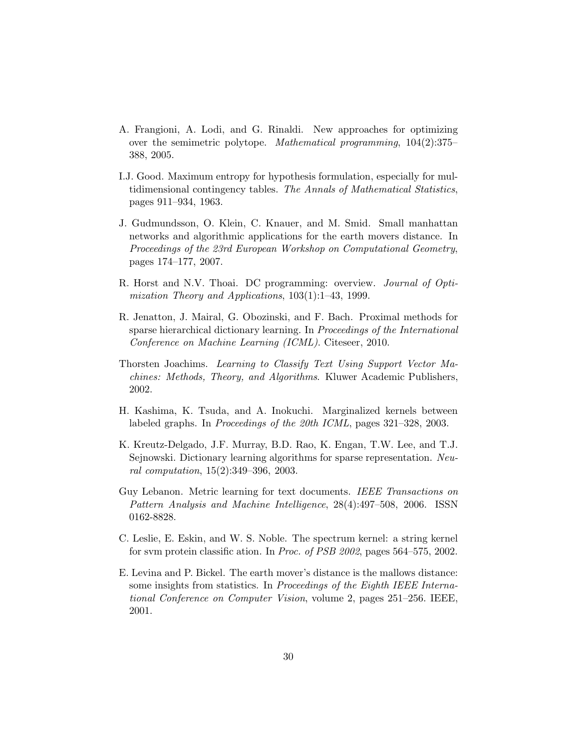- <span id="page-29-5"></span>A. Frangioni, A. Lodi, and G. Rinaldi. New approaches for optimizing over the semimetric polytope. *Mathematical programming*, 104(2):375– 388, 2005.
- <span id="page-29-6"></span>I.J. Good. Maximum entropy for hypothesis formulation, especially for multidimensional contingency tables. *The Annals of Mathematical Statistics*, pages 911–934, 1963.
- <span id="page-29-8"></span>J. Gudmundsson, O. Klein, C. Knauer, and M. Smid. Small manhattan networks and algorithmic applications for the earth movers distance. In *Proceedings of the 23rd European Workshop on Computational Geometry*, pages 174–177, 2007.
- <span id="page-29-4"></span>R. Horst and N.V. Thoai. DC programming: overview. *Journal of Optimization Theory and Applications*, 103(1):1–43, 1999.
- <span id="page-29-10"></span>R. Jenatton, J. Mairal, G. Obozinski, and F. Bach. Proximal methods for sparse hierarchical dictionary learning. In *Proceedings of the International Conference on Machine Learning (ICML)*. Citeseer, 2010.
- <span id="page-29-0"></span>Thorsten Joachims. *Learning to Classify Text Using Support Vector Machines: Methods, Theory, and Algorithms*. Kluwer Academic Publishers, 2002.
- <span id="page-29-2"></span>H. Kashima, K. Tsuda, and A. Inokuchi. Marginalized kernels between labeled graphs. In *Proceedings of the 20th ICML*, pages 321–328, 2003.
- <span id="page-29-9"></span>K. Kreutz-Delgado, J.F. Murray, B.D. Rao, K. Engan, T.W. Lee, and T.J. Sejnowski. Dictionary learning algorithms for sparse representation. *Neural computation*, 15(2):349–396, 2003.
- <span id="page-29-7"></span>Guy Lebanon. Metric learning for text documents. *IEEE Transactions on Pattern Analysis and Machine Intelligence*, 28(4):497–508, 2006. ISSN 0162-8828.
- <span id="page-29-1"></span>C. Leslie, E. Eskin, and W. S. Noble. The spectrum kernel: a string kernel for svm protein classific ation. In *Proc. of PSB 2002*, pages 564–575, 2002.
- <span id="page-29-3"></span>E. Levina and P. Bickel. The earth mover's distance is the mallows distance: some insights from statistics. In *Proceedings of the Eighth IEEE International Conference on Computer Vision*, volume 2, pages 251–256. IEEE, 2001.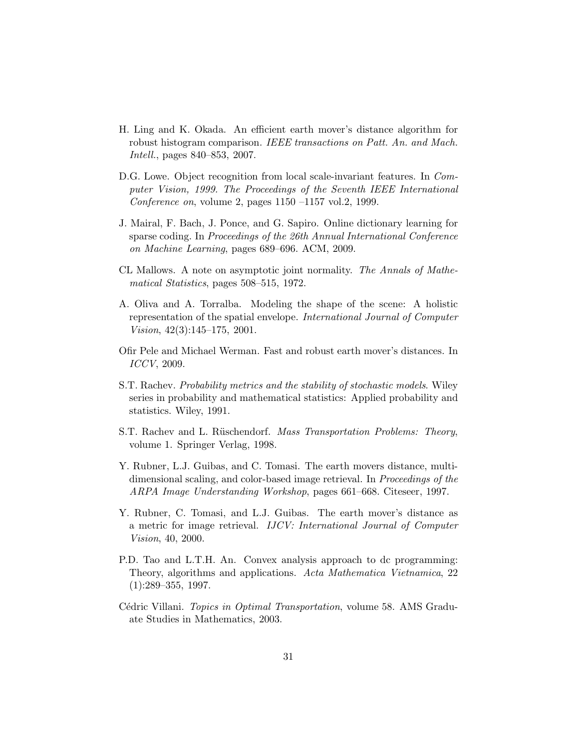- <span id="page-30-10"></span>H. Ling and K. Okada. An efficient earth mover's distance algorithm for robust histogram comparison. *IEEE transactions on Patt. An. and Mach. Intell.*, pages 840–853, 2007.
- <span id="page-30-0"></span>D.G. Lowe. Object recognition from local scale-invariant features. In *Computer Vision, 1999. The Proceedings of the Seventh IEEE International Conference on*, volume 2, pages 1150 –1157 vol.2, 1999.
- <span id="page-30-11"></span>J. Mairal, F. Bach, J. Ponce, and G. Sapiro. Online dictionary learning for sparse coding. In *Proceedings of the 26th Annual International Conference on Machine Learning*, pages 689–696. ACM, 2009.
- <span id="page-30-8"></span>CL Mallows. A note on asymptotic joint normality. *The Annals of Mathematical Statistics*, pages 508–515, 1972.
- <span id="page-30-1"></span>A. Oliva and A. Torralba. Modeling the shape of the scene: A holistic representation of the spatial envelope. *International Journal of Computer Vision*, 42(3):145–175, 2001.
- <span id="page-30-6"></span>Ofir Pele and Michael Werman. Fast and robust earth mover's distances. In *ICCV*, 2009.
- <span id="page-30-2"></span>S.T. Rachev. *Probability metrics and the stability of stochastic models*. Wiley series in probability and mathematical statistics: Applied probability and statistics. Wiley, 1991.
- <span id="page-30-7"></span>S.T. Rachev and L. R¨uschendorf. *Mass Transportation Problems: Theory*, volume 1. Springer Verlag, 1998.
- <span id="page-30-4"></span>Y. Rubner, L.J. Guibas, and C. Tomasi. The earth movers distance, multidimensional scaling, and color-based image retrieval. In *Proceedings of the ARPA Image Understanding Workshop*, pages 661–668. Citeseer, 1997.
- <span id="page-30-5"></span>Y. Rubner, C. Tomasi, and L.J. Guibas. The earth mover's distance as a metric for image retrieval. *IJCV: International Journal of Computer Vision*, 40, 2000.
- <span id="page-30-9"></span>P.D. Tao and L.T.H. An. Convex analysis approach to dc programming: Theory, algorithms and applications. *Acta Mathematica Vietnamica*, 22  $(1):289-355, 1997.$
- <span id="page-30-3"></span>Cédric Villani. *Topics in Optimal Transportation*, volume 58. AMS Graduate Studies in Mathematics, 2003.